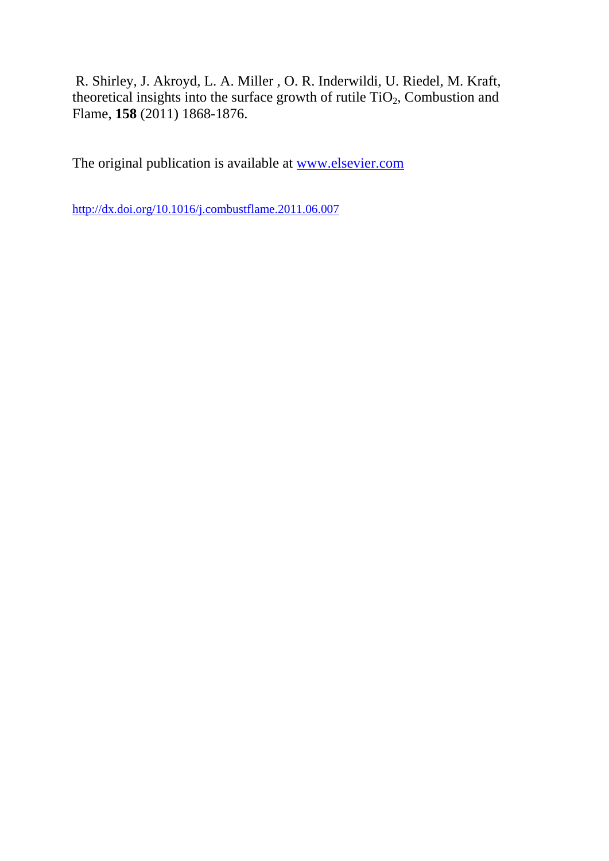R. Shirley, J. Akroyd, L. A. Miller , O. R. Inderwildi, U. Riedel, M. Kraft, theoretical insights into the surface growth of rutile  $TiO<sub>2</sub>$ , Combustion and Flame, **158** (2011) 1868-1876.

The original publication is available at www.elsevier.com

http://dx.doi.org/10.1016/j.combustflame.2011.06.007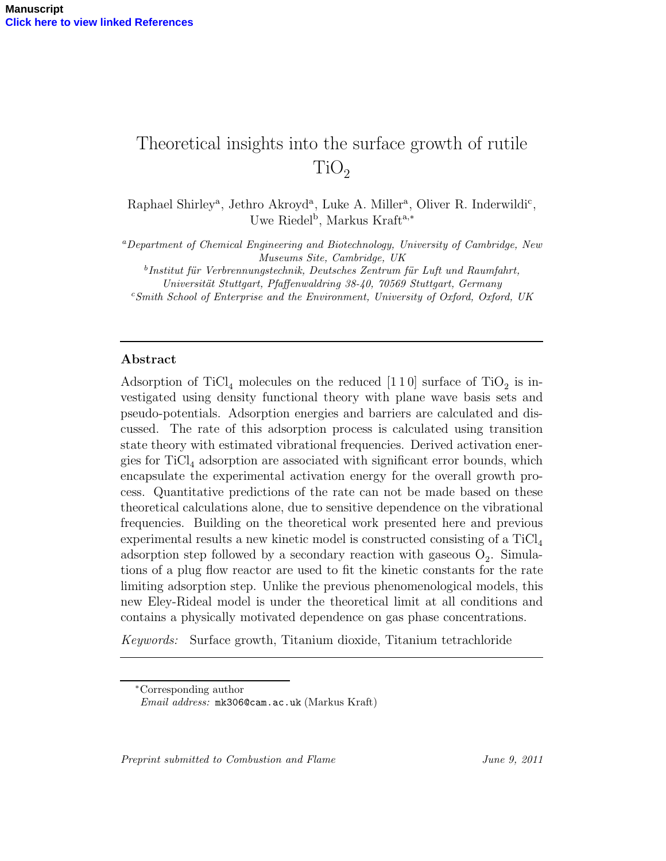# Theoretical insights into the surface growth of rutile  $TiO<sub>2</sub>$

Raphael Shirley<sup>a</sup>, Jethro Akroyd<sup>a</sup>, Luke A. Miller<sup>a</sup>, Oliver R. Inderwildi<sup>c</sup>, Uwe Riedel<sup>b</sup>, Markus Kraft<sup>a,\*</sup>

<sup>a</sup>Department of Chemical Engineering and Biotechnology, University of Cambridge, New Museums Site, Cambridge, UK

<sup>b</sup>Institut für Verbrennungstechnik, Deutsches Zentrum für Luft und Raumfahrt,

Universität Stuttgart, Pfaffenwaldring 38-40, 70569 Stuttgart, Germany

 $c$ Smith School of Enterprise and the Environment, University of Oxford, Oxford, UK

# Abstract

Adsorption of TiCl<sub>4</sub> molecules on the reduced [1 1 0] surface of TiO<sub>2</sub> is investigated using density functional theory with plane wave basis sets and pseudo-potentials. Adsorption energies and barriers are calculated and discussed. The rate of this adsorption process is calculated using transition state theory with estimated vibrational frequencies. Derived activation energies for  $TiCl<sub>4</sub>$  adsorption are associated with significant error bounds, which encapsulate the experimental activation energy for the overall growth process. Quantitative predictions of the rate can not be made based on these theoretical calculations alone, due to sensitive dependence on the vibrational frequencies. Building on the theoretical work presented here and previous experimental results a new kinetic model is constructed consisting of a  $TiCl<sub>4</sub>$ adsorption step followed by a secondary reaction with gaseous  $O_2$ . Simulations of a plug flow reactor are used to fit the kinetic constants for the rate limiting adsorption step. Unlike the previous phenomenological models, this new Eley-Rideal model is under the theoretical limit at all conditions and contains a physically motivated dependence on gas phase concentrations.

Keywords: Surface growth, Titanium dioxide, Titanium tetrachloride

Preprint submitted to Combustion and Flame June 9, 2011

<sup>∗</sup>Corresponding author

Email address: mk306@cam.ac.uk (Markus Kraft)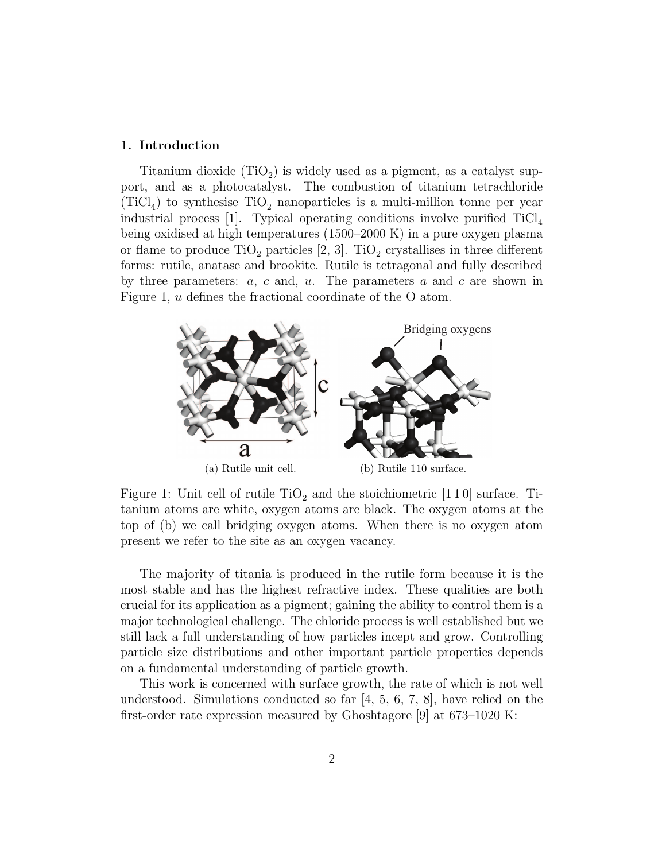#### 1. Introduction

Titanium dioxide  $(TiO_2)$  is widely used as a pigment, as a catalyst support, and as a photocatalyst. The combustion of titanium tetrachloride  $(TiCl<sub>4</sub>)$  to synthesise  $TiO<sub>2</sub>$  nanoparticles is a multi-million tonne per year industrial process [1]. Typical operating conditions involve purified  $TiCl<sub>4</sub>$ being oxidised at high temperatures (1500–2000 K) in a pure oxygen plasma or flame to produce  $TiO_2$  particles [2, 3].  $TiO_2$  crystallises in three different forms: rutile, anatase and brookite. Rutile is tetragonal and fully described by three parameters:  $a, c$  and,  $u$ . The parameters  $a$  and  $c$  are shown in Figure 1, u defines the fractional coordinate of the O atom.



Figure 1: Unit cell of rutile  $TiO<sub>2</sub>$  and the stoichiometric [110] surface. Titanium atoms are white, oxygen atoms are black. The oxygen atoms at the top of (b) we call bridging oxygen atoms. When there is no oxygen atom present we refer to the site as an oxygen vacancy.

The majority of titania is produced in the rutile form because it is the most stable and has the highest refractive index. These qualities are both crucial for its application as a pigment; gaining the ability to control them is a major technological challenge. The chloride process is well established but we still lack a full understanding of how particles incept and grow. Controlling particle size distributions and other important particle properties depends on a fundamental understanding of particle growth.

This work is concerned with surface growth, the rate of which is not well understood. Simulations conducted so far [4, 5, 6, 7, 8], have relied on the first-order rate expression measured by Ghoshtagore [9] at 673–1020 K: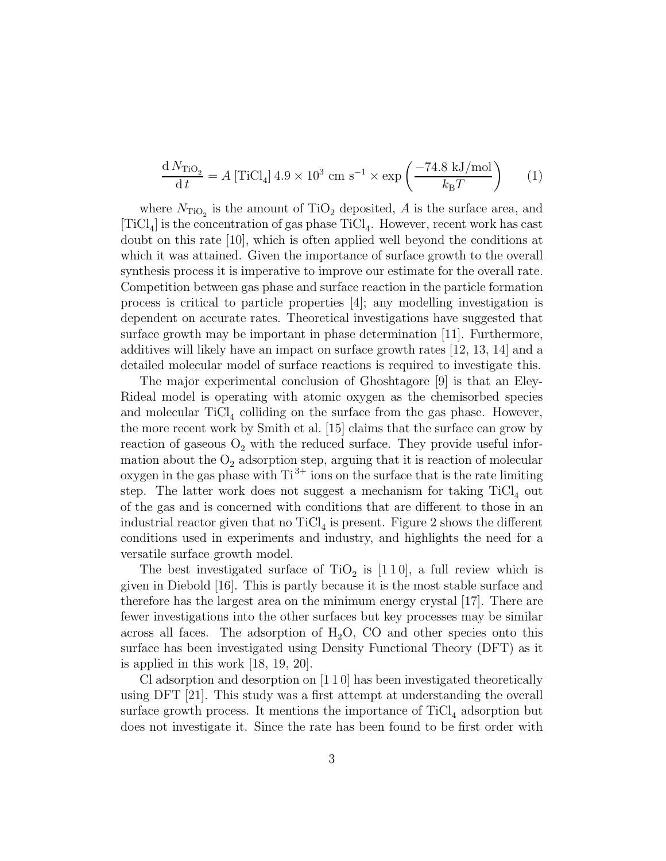$$
\frac{\mathrm{d}N_{\mathrm{TiO}_2}}{\mathrm{d}t} = A \left[ \mathrm{TiCl}_4 \right] 4.9 \times 10^3 \mathrm{cm s}^{-1} \times \exp\left(\frac{-74.8 \mathrm{kJ/mol}}{k_{\mathrm{B}}T}\right) \tag{1}
$$

where  $N_{\text{TiO}_2}$  is the amount of TiO<sub>2</sub> deposited, A is the surface area, and  $[TiCl_4]$  is the concentration of gas phase  $TiCl_4$ . However, recent work has cast doubt on this rate [10], which is often applied well beyond the conditions at which it was attained. Given the importance of surface growth to the overall synthesis process it is imperative to improve our estimate for the overall rate. Competition between gas phase and surface reaction in the particle formation process is critical to particle properties [4]; any modelling investigation is dependent on accurate rates. Theoretical investigations have suggested that surface growth may be important in phase determination [11]. Furthermore, additives will likely have an impact on surface growth rates [12, 13, 14] and a detailed molecular model of surface reactions is required to investigate this.

The major experimental conclusion of Ghoshtagore [9] is that an Eley-Rideal model is operating with atomic oxygen as the chemisorbed species and molecular  $TiCl<sub>4</sub>$  colliding on the surface from the gas phase. However, the more recent work by Smith et al. [15] claims that the surface can grow by reaction of gaseous  $O_2$  with the reduced surface. They provide useful information about the  $O_2$  adsorption step, arguing that it is reaction of molecular oxygen in the gas phase with  $Ti^{3+}$  ions on the surface that is the rate limiting step. The latter work does not suggest a mechanism for taking  $TiCl<sub>4</sub>$  out of the gas and is concerned with conditions that are different to those in an industrial reactor given that no  $TiCl<sub>4</sub>$  is present. Figure 2 shows the different conditions used in experiments and industry, and highlights the need for a versatile surface growth model.

The best investigated surface of  $TiO<sub>2</sub>$  is [110], a full review which is given in Diebold [16]. This is partly because it is the most stable surface and therefore has the largest area on the minimum energy crystal [17]. There are fewer investigations into the other surfaces but key processes may be similar across all faces. The adsorption of  $H_2O$ , CO and other species onto this surface has been investigated using Density Functional Theory (DFT) as it is applied in this work [18, 19, 20].

Cl adsorption and desorption on [1 1 0] has been investigated theoretically using DFT [21]. This study was a first attempt at understanding the overall surface growth process. It mentions the importance of  $TiCl<sub>4</sub>$  adsorption but does not investigate it. Since the rate has been found to be first order with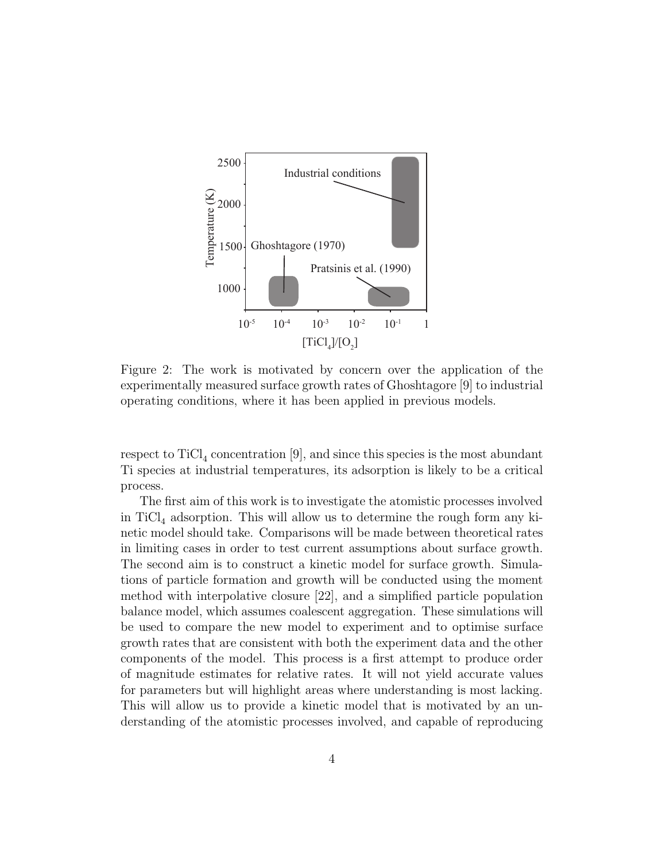

Figure 2: The work is motivated by concern over the application of the experimentally measured surface growth rates of Ghoshtagore [9] to industrial operating conditions, where it has been applied in previous models.

respect to  $\text{TiCl}_4$  concentration [9], and since this species is the most abundant Ti species at industrial temperatures, its adsorption is likely to be a critical process.

The first aim of this work is to investigate the atomistic processes involved in  $TiCl<sub>4</sub>$  adsorption. This will allow us to determine the rough form any kinetic model should take. Comparisons will be made between theoretical rates in limiting cases in order to test current assumptions about surface growth. The second aim is to construct a kinetic model for surface growth. Simulations of particle formation and growth will be conducted using the moment method with interpolative closure [22], and a simplified particle population balance model, which assumes coalescent aggregation. These simulations will be used to compare the new model to experiment and to optimise surface growth rates that are consistent with both the experiment data and the other components of the model. This process is a first attempt to produce order of magnitude estimates for relative rates. It will not yield accurate values for parameters but will highlight areas where understanding is most lacking. This will allow us to provide a kinetic model that is motivated by an understanding of the atomistic processes involved, and capable of reproducing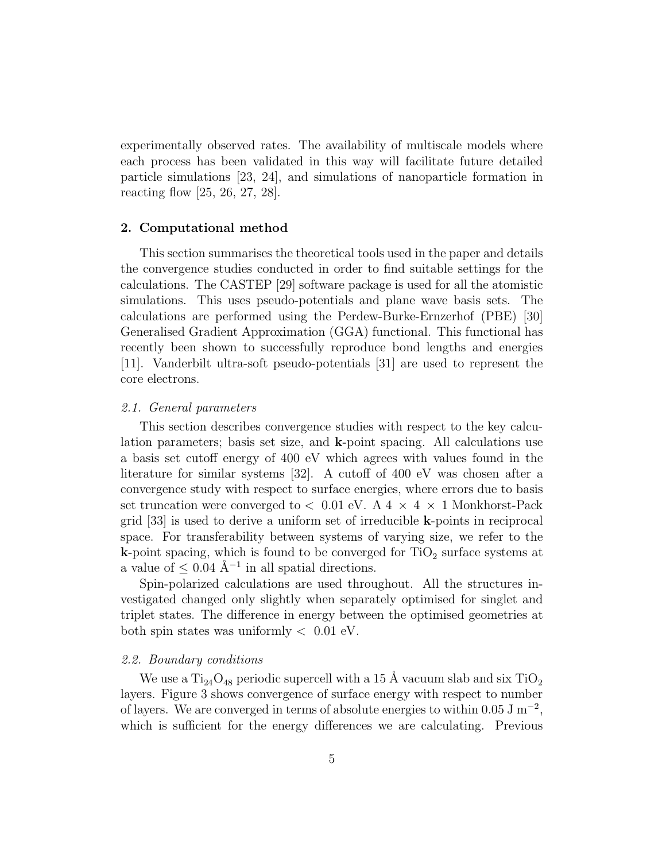experimentally observed rates. The availability of multiscale models where each process has been validated in this way will facilitate future detailed particle simulations [23, 24], and simulations of nanoparticle formation in reacting flow [25, 26, 27, 28].

# 2. Computational method

This section summarises the theoretical tools used in the paper and details the convergence studies conducted in order to find suitable settings for the calculations. The CASTEP [29] software package is used for all the atomistic simulations. This uses pseudo-potentials and plane wave basis sets. The calculations are performed using the Perdew-Burke-Ernzerhof (PBE) [30] Generalised Gradient Approximation (GGA) functional. This functional has recently been shown to successfully reproduce bond lengths and energies [11]. Vanderbilt ultra-soft pseudo-potentials [31] are used to represent the core electrons.

# 2.1. General parameters

This section describes convergence studies with respect to the key calculation parameters; basis set size, and k-point spacing. All calculations use a basis set cutoff energy of 400 eV which agrees with values found in the literature for similar systems [32]. A cutoff of 400 eV was chosen after a convergence study with respect to surface energies, where errors due to basis set truncation were converged to  $< 0.01$  eV. A 4  $\times$  4  $\times$  1 Monkhorst-Pack grid [33] is used to derive a uniform set of irreducible k-points in reciprocal space. For transferability between systems of varying size, we refer to the **k**-point spacing, which is found to be converged for  $TiO<sub>2</sub>$  surface systems at a value of  $\leq$  0.04 Å<sup>-1</sup> in all spatial directions.

Spin-polarized calculations are used throughout. All the structures investigated changed only slightly when separately optimised for singlet and triplet states. The difference in energy between the optimised geometries at both spin states was uniformly  $< 0.01$  eV.

#### 2.2. Boundary conditions

We use a  $Ti_{24}O_{48}$  periodic supercell with a 15 Å vacuum slab and six  $TiO_2$ layers. Figure 3 shows convergence of surface energy with respect to number of layers. We are converged in terms of absolute energies to within  $0.05 \text{ J m}^{-2}$ , which is sufficient for the energy differences we are calculating. Previous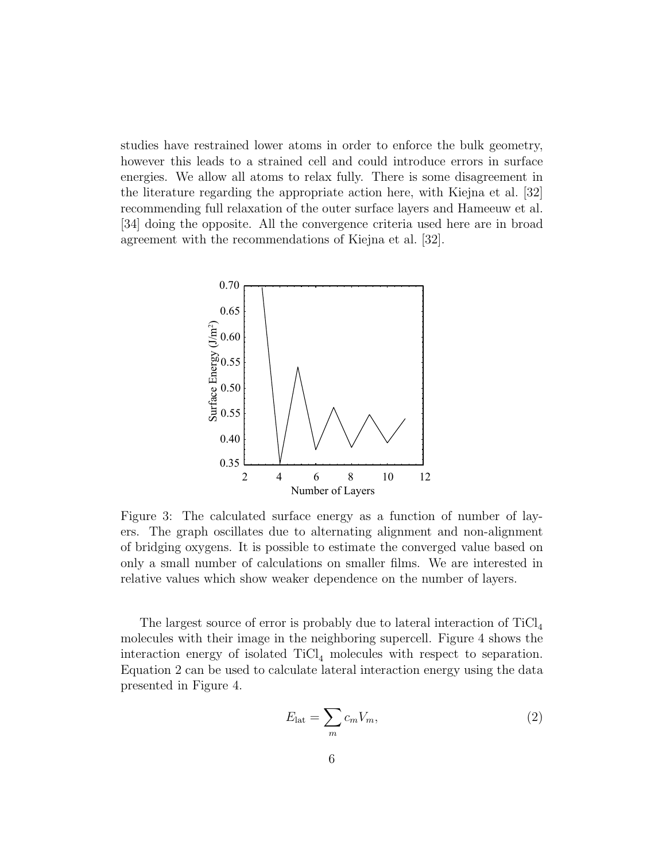studies have restrained lower atoms in order to enforce the bulk geometry, however this leads to a strained cell and could introduce errors in surface energies. We allow all atoms to relax fully. There is some disagreement in the literature regarding the appropriate action here, with Kiejna et al. [32] recommending full relaxation of the outer surface layers and Hameeuw et al. [34] doing the opposite. All the convergence criteria used here are in broad agreement with the recommendations of Kiejna et al. [32].



Figure 3: The calculated surface energy as a function of number of layers. The graph oscillates due to alternating alignment and non-alignment of bridging oxygens. It is possible to estimate the converged value based on only a small number of calculations on smaller films. We are interested in relative values which show weaker dependence on the number of layers.

The largest source of error is probably due to lateral interaction of  $TiCl<sub>4</sub>$ molecules with their image in the neighboring supercell. Figure 4 shows the interaction energy of isolated  $TiCl<sub>4</sub>$  molecules with respect to separation. Equation 2 can be used to calculate lateral interaction energy using the data presented in Figure 4.

$$
E_{\text{lat}} = \sum_{m} c_m V_m,\tag{2}
$$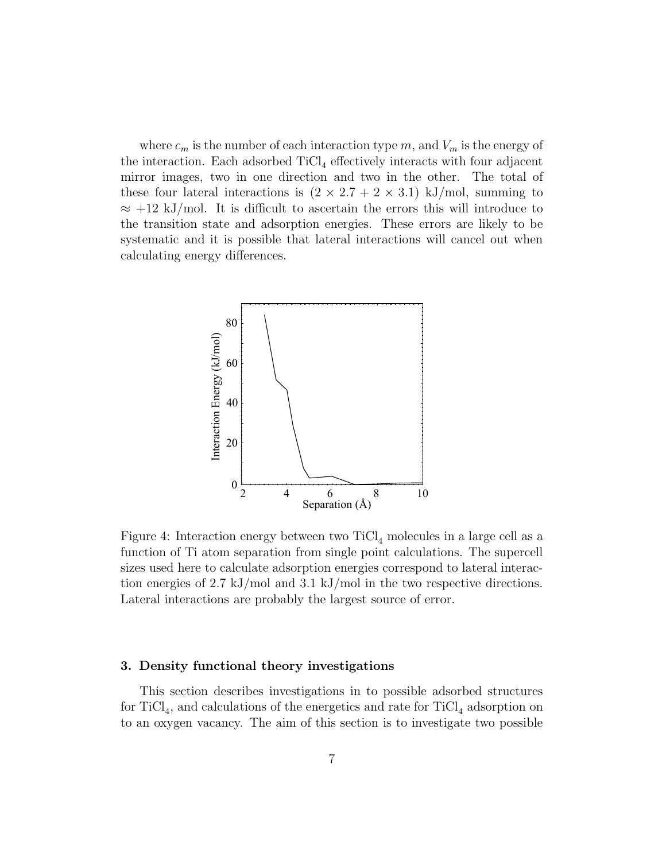where  $c_m$  is the number of each interaction type m, and  $V_m$  is the energy of the interaction. Each adsorbed  $TiCl<sub>4</sub>$  effectively interacts with four adjacent mirror images, two in one direction and two in the other. The total of these four lateral interactions is  $(2 \times 2.7 + 2 \times 3.1)$  kJ/mol, summing to  $\approx$  +12 kJ/mol. It is difficult to ascertain the errors this will introduce to the transition state and adsorption energies. These errors are likely to be systematic and it is possible that lateral interactions will cancel out when calculating energy differences.



Figure 4: Interaction energy between two  $TiCl<sub>4</sub>$  molecules in a large cell as a function of Ti atom separation from single point calculations. The supercell sizes used here to calculate adsorption energies correspond to lateral interaction energies of 2.7 kJ/mol and 3.1 kJ/mol in the two respective directions. Lateral interactions are probably the largest source of error.

# 3. Density functional theory investigations

This section describes investigations in to possible adsorbed structures for TiCl<sub>4</sub>, and calculations of the energetics and rate for TiCl<sub>4</sub> adsorption on to an oxygen vacancy. The aim of this section is to investigate two possible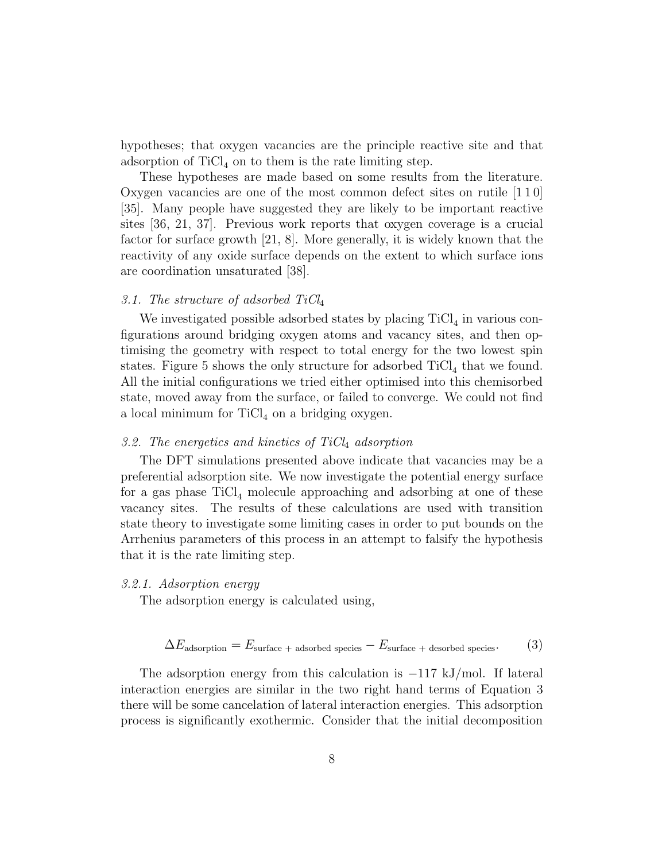hypotheses; that oxygen vacancies are the principle reactive site and that adsorption of  $TiCl<sub>4</sub>$  on to them is the rate limiting step.

These hypotheses are made based on some results from the literature. Oxygen vacancies are one of the most common defect sites on rutile [1 1 0] [35]. Many people have suggested they are likely to be important reactive sites [36, 21, 37]. Previous work reports that oxygen coverage is a crucial factor for surface growth [21, 8]. More generally, it is widely known that the reactivity of any oxide surface depends on the extent to which surface ions are coordination unsaturated [38].

# 3.1. The structure of adsorbed  $TiCl<sub>4</sub>$

We investigated possible adsorbed states by placing  $TiCl<sub>4</sub>$  in various configurations around bridging oxygen atoms and vacancy sites, and then optimising the geometry with respect to total energy for the two lowest spin states. Figure 5 shows the only structure for adsorbed  $TiCl<sub>4</sub>$  that we found. All the initial configurations we tried either optimised into this chemisorbed state, moved away from the surface, or failed to converge. We could not find a local minimum for  $TiCl<sub>4</sub>$  on a bridging oxygen.

# 3.2. The energetics and kinetics of  $TiCl<sub>4</sub>$  adsorption

The DFT simulations presented above indicate that vacancies may be a preferential adsorption site. We now investigate the potential energy surface for a gas phase  $TiCl<sub>4</sub>$  molecule approaching and adsorbing at one of these vacancy sites. The results of these calculations are used with transition state theory to investigate some limiting cases in order to put bounds on the Arrhenius parameters of this process in an attempt to falsify the hypothesis that it is the rate limiting step.

#### 3.2.1. Adsorption energy

The adsorption energy is calculated using,

$$
\Delta E_{\text{adsorption}} = E_{\text{surface } + \text{adsorbed species}} - E_{\text{surface } + \text{desorbed species}}.\tag{3}
$$

The adsorption energy from this calculation is −117 kJ/mol. If lateral interaction energies are similar in the two right hand terms of Equation 3 there will be some cancelation of lateral interaction energies. This adsorption process is significantly exothermic. Consider that the initial decomposition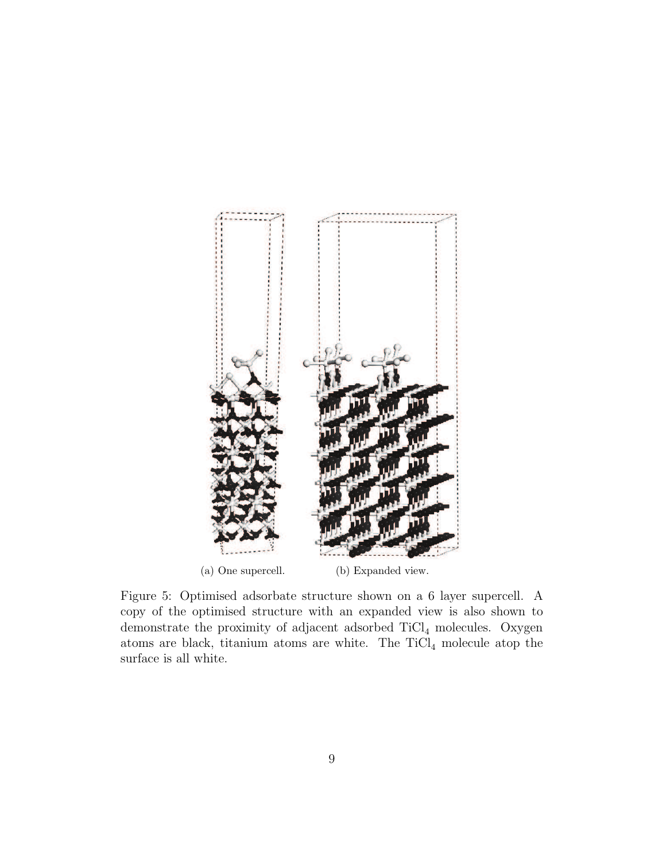

Figure 5: Optimised adsorbate structure shown on a 6 layer supercell. A copy of the optimised structure with an expanded view is also shown to demonstrate the proximity of adjacent adsorbed  $TiCl<sub>4</sub>$  molecules. Oxygen atoms are black, titanium atoms are white. The  $TiCl<sub>4</sub>$  molecule atop the surface is all white.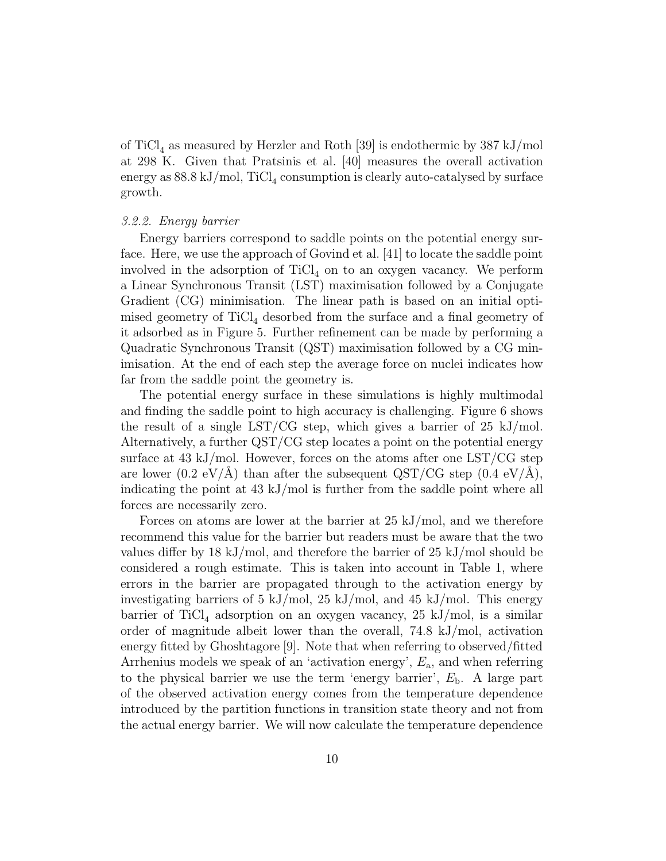of TiCl<sub>4</sub> as measured by Herzler and Roth [39] is endothermic by 387 kJ/mol at 298 K. Given that Pratsinis et al. [40] measures the overall activation energy as  $88.8 \mathrm{~kJ/mol}$ ,  $\mathrm{TiCl}_4$  consumption is clearly auto-catalysed by surface growth.

# 3.2.2. Energy barrier

Energy barriers correspond to saddle points on the potential energy surface. Here, we use the approach of Govind et al. [41] to locate the saddle point involved in the adsorption of  $TiCl<sub>4</sub>$  on to an oxygen vacancy. We perform a Linear Synchronous Transit (LST) maximisation followed by a Conjugate Gradient (CG) minimisation. The linear path is based on an initial optimised geometry of  $TiCl<sub>4</sub>$  desorbed from the surface and a final geometry of it adsorbed as in Figure 5. Further refinement can be made by performing a Quadratic Synchronous Transit (QST) maximisation followed by a CG minimisation. At the end of each step the average force on nuclei indicates how far from the saddle point the geometry is.

The potential energy surface in these simulations is highly multimodal and finding the saddle point to high accuracy is challenging. Figure 6 shows the result of a single LST/CG step, which gives a barrier of  $25 \text{ kJ/mol}$ . Alternatively, a further QST/CG step locates a point on the potential energy surface at 43 kJ/mol. However, forces on the atoms after one LST/CG step are lower (0.2 eV/Å) than after the subsequent  $\text{QST/CG}$  step (0.4 eV/Å), indicating the point at 43 kJ/mol is further from the saddle point where all forces are necessarily zero.

Forces on atoms are lower at the barrier at 25 kJ/mol, and we therefore recommend this value for the barrier but readers must be aware that the two values differ by 18 kJ/mol, and therefore the barrier of 25 kJ/mol should be considered a rough estimate. This is taken into account in Table 1, where errors in the barrier are propagated through to the activation energy by investigating barriers of 5 kJ/mol, 25 kJ/mol, and 45 kJ/mol. This energy barrier of  $TiCl<sub>4</sub>$  adsorption on an oxygen vacancy, 25 kJ/mol, is a similar order of magnitude albeit lower than the overall, 74.8 kJ/mol, activation energy fitted by Ghoshtagore [9]. Note that when referring to observed/fitted Arrhenius models we speak of an 'activation energy',  $E_a$ , and when referring to the physical barrier we use the term 'energy barrier',  $E<sub>b</sub>$ . A large part of the observed activation energy comes from the temperature dependence introduced by the partition functions in transition state theory and not from the actual energy barrier. We will now calculate the temperature dependence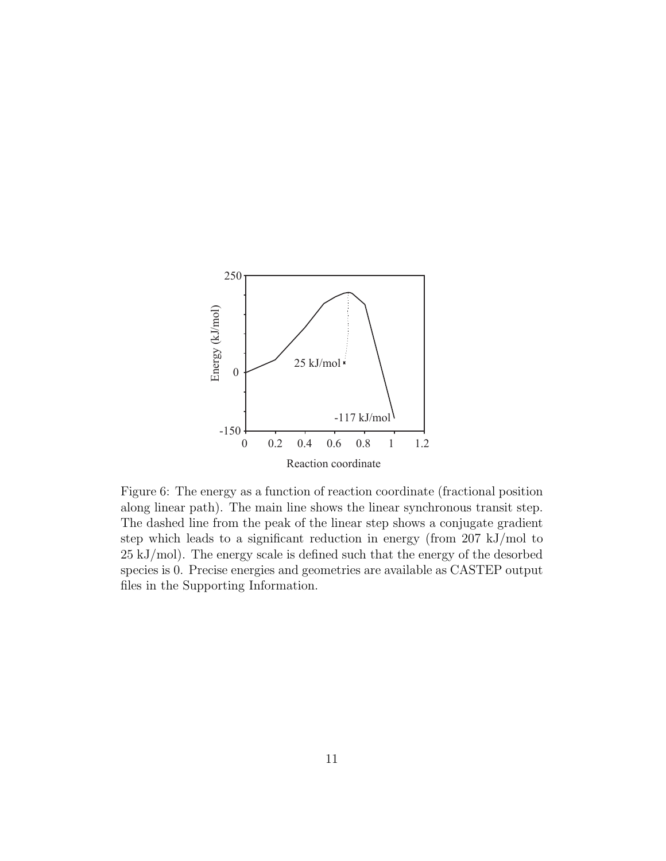

Figure 6: The energy as a function of reaction coordinate (fractional position along linear path). The main line shows the linear synchronous transit step. The dashed line from the peak of the linear step shows a conjugate gradient step which leads to a significant reduction in energy (from 207 kJ/mol to 25 kJ/mol). The energy scale is defined such that the energy of the desorbed species is 0. Precise energies and geometries are available as CASTEP output files in the Supporting Information.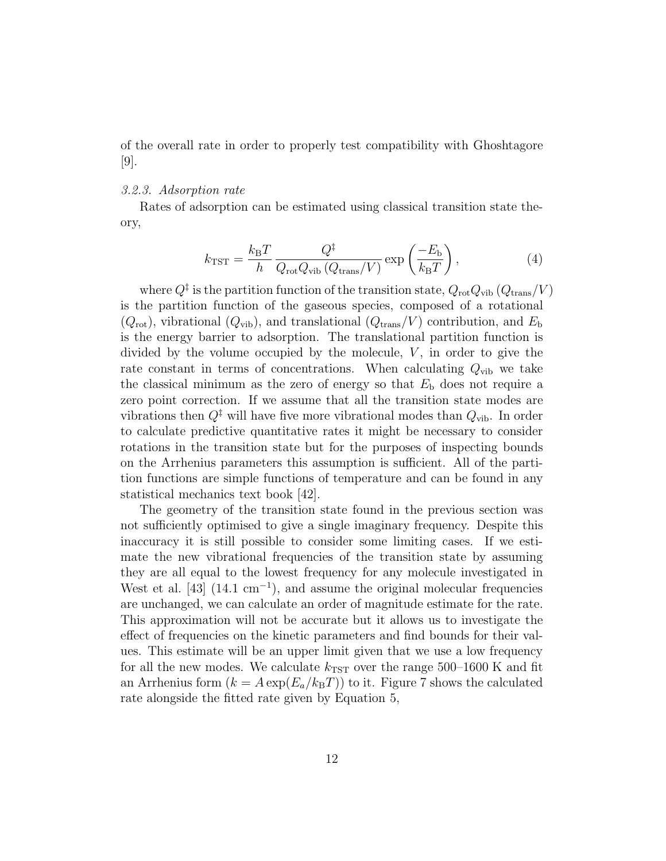of the overall rate in order to properly test compatibility with Ghoshtagore  $|9|$ .

# 3.2.3. Adsorption rate

Rates of adsorption can be estimated using classical transition state theory,

$$
k_{\text{TST}} = \frac{k_{\text{B}}T}{h} \frac{Q^{\ddagger}}{Q_{\text{rot}}Q_{\text{vib}}\left(Q_{\text{trans}}/V\right)} \exp\left(\frac{-E_{\text{b}}}{k_{\text{B}}T}\right),\tag{4}
$$

where  $Q^{\ddagger}$  is the partition function of the transition state,  $Q_{\rm rot} Q_{\rm vib} (Q_{\rm trans}/V)$ is the partition function of the gaseous species, composed of a rotational  $(Q_{\text{rot}})$ , vibrational  $(Q_{\text{vib}})$ , and translational  $(Q_{\text{trans}}/V)$  contribution, and  $E_{\text{b}}$ is the energy barrier to adsorption. The translational partition function is divided by the volume occupied by the molecule,  $V$ , in order to give the rate constant in terms of concentrations. When calculating  $Q_{\text{vib}}$  we take the classical minimum as the zero of energy so that  $E<sub>b</sub>$  does not require a zero point correction. If we assume that all the transition state modes are vibrations then  $Q^{\ddagger}$  will have five more vibrational modes than  $Q_{\text{vib}}$ . In order to calculate predictive quantitative rates it might be necessary to consider rotations in the transition state but for the purposes of inspecting bounds on the Arrhenius parameters this assumption is sufficient. All of the partition functions are simple functions of temperature and can be found in any statistical mechanics text book [42].

The geometry of the transition state found in the previous section was not sufficiently optimised to give a single imaginary frequency. Despite this inaccuracy it is still possible to consider some limiting cases. If we estimate the new vibrational frequencies of the transition state by assuming they are all equal to the lowest frequency for any molecule investigated in West et al.  $[43]$  (14.1 cm<sup>-1</sup>), and assume the original molecular frequencies are unchanged, we can calculate an order of magnitude estimate for the rate. This approximation will not be accurate but it allows us to investigate the effect of frequencies on the kinetic parameters and find bounds for their values. This estimate will be an upper limit given that we use a low frequency for all the new modes. We calculate  $k_{\text{TST}}$  over the range 500–1600 K and fit an Arrhenius form  $(k = A \exp(E_a/k_B T))$  to it. Figure 7 shows the calculated rate alongside the fitted rate given by Equation 5,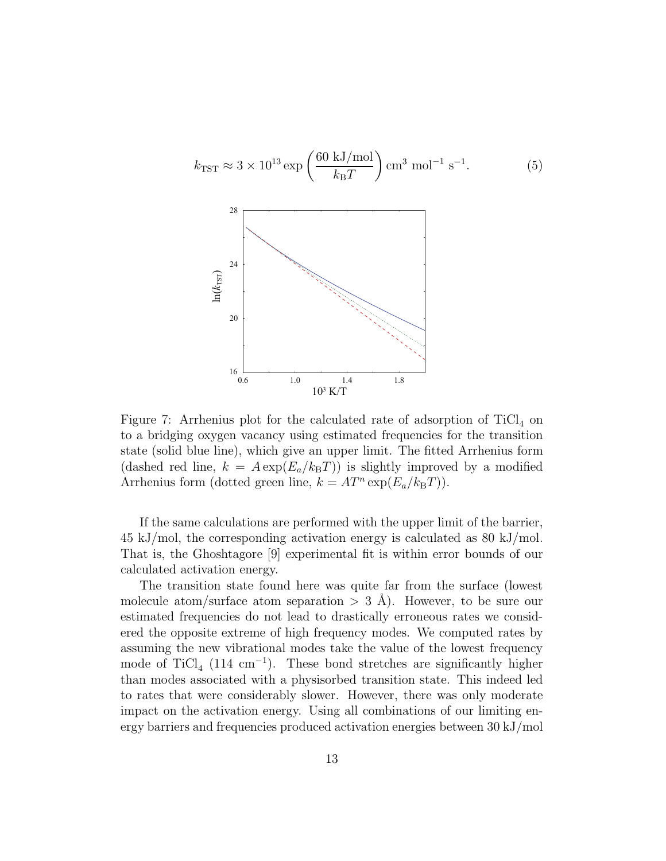$$
k_{\text{TST}} \approx 3 \times 10^{13} \exp\left(\frac{60 \text{ kJ/mol}}{k_{\text{B}}T}\right) \text{cm}^3 \text{ mol}^{-1} \text{ s}^{-1}.
$$
 (5)  
 $\frac{28}{\sum_{i=1}^{16} \frac{1}{k_i}} = \frac{24}{20}$ 

Figure 7: Arrhenius plot for the calculated rate of adsorption of  $TiCl<sub>4</sub>$  on to a bridging oxygen vacancy using estimated frequencies for the transition state (solid blue line), which give an upper limit. The fitted Arrhenius form (dashed red line,  $k = A \exp(E_a/k_B T)$ ) is slightly improved by a modified Arrhenius form (dotted green line,  $k = AT^n \exp(E_a/k_B T)$ ).

If the same calculations are performed with the upper limit of the barrier, 45 kJ/mol, the corresponding activation energy is calculated as 80 kJ/mol. That is, the Ghoshtagore [9] experimental fit is within error bounds of our calculated activation energy.

The transition state found here was quite far from the surface (lowest molecule atom/surface atom separation  $> 3$  Å). However, to be sure our estimated frequencies do not lead to drastically erroneous rates we considered the opposite extreme of high frequency modes. We computed rates by assuming the new vibrational modes take the value of the lowest frequency mode of TiCl<sub>4</sub> (114 cm<sup>-1</sup>). These bond stretches are significantly higher than modes associated with a physisorbed transition state. This indeed led to rates that were considerably slower. However, there was only moderate impact on the activation energy. Using all combinations of our limiting energy barriers and frequencies produced activation energies between 30 kJ/mol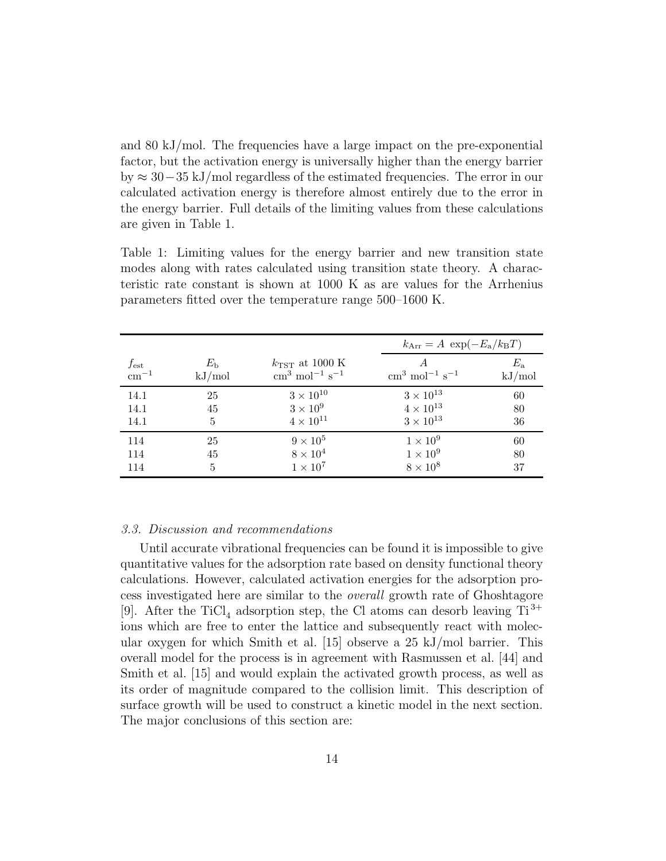and 80 kJ/mol. The frequencies have a large impact on the pre-exponential factor, but the activation energy is universally higher than the energy barrier by ≈ 30−35 kJ/mol regardless of the estimated frequencies. The error in our calculated activation energy is therefore almost entirely due to the error in the energy barrier. Full details of the limiting values from these calculations are given in Table 1.

Table 1: Limiting values for the energy barrier and new transition state modes along with rates calculated using transition state theory. A characteristic rate constant is shown at 1000 K as are values for the Arrhenius parameters fitted over the temperature range 500–1600 K.

|           |             |                                                |                                                | $k_{\text{Arr}} = A \exp(-E_a/k_B T)$ |  |
|-----------|-------------|------------------------------------------------|------------------------------------------------|---------------------------------------|--|
| $f_{est}$ | $E_{\rm h}$ | $k_{\text{TST}}$ at 1000 K                     | $\rm cm^{3}$ mol <sup>-1</sup> s <sup>-1</sup> | $E_{\rm a}$                           |  |
| $cm^{-1}$ | kJ/mol      | $\rm cm^{3}$ mol <sup>-1</sup> s <sup>-1</sup> |                                                | kJ/mol                                |  |
| 14.1      | 25          | $3 \times 10^{10}$                             | $3 \times 10^{13}$                             | 60                                    |  |
| 14.1      | 45          | $3\times10^9$                                  | $4 \times 10^{13}$                             | 80                                    |  |
| 14.1      | 5           | $4 \times 10^{11}$                             | $3 \times 10^{13}$                             | 36                                    |  |
| 114       | 25          | $9 \times 10^5$                                | $1 \times 10^9$                                | 60                                    |  |
| 114       | 45          | $8 \times 10^4$                                | $1 \times 10^9$                                | 80                                    |  |
| 114       | 5           | $1 \times 10^7$                                | $8 \times 10^8$                                | 37                                    |  |

# 3.3. Discussion and recommendations

Until accurate vibrational frequencies can be found it is impossible to give quantitative values for the adsorption rate based on density functional theory calculations. However, calculated activation energies for the adsorption process investigated here are similar to the overall growth rate of Ghoshtagore [9]. After the TiCl<sub>4</sub> adsorption step, the Cl atoms can desorb leaving  $Ti^{3+}$ ions which are free to enter the lattice and subsequently react with molecular oxygen for which Smith et al. [15] observe a 25 kJ/mol barrier. This overall model for the process is in agreement with Rasmussen et al. [44] and Smith et al. [15] and would explain the activated growth process, as well as its order of magnitude compared to the collision limit. This description of surface growth will be used to construct a kinetic model in the next section. The major conclusions of this section are: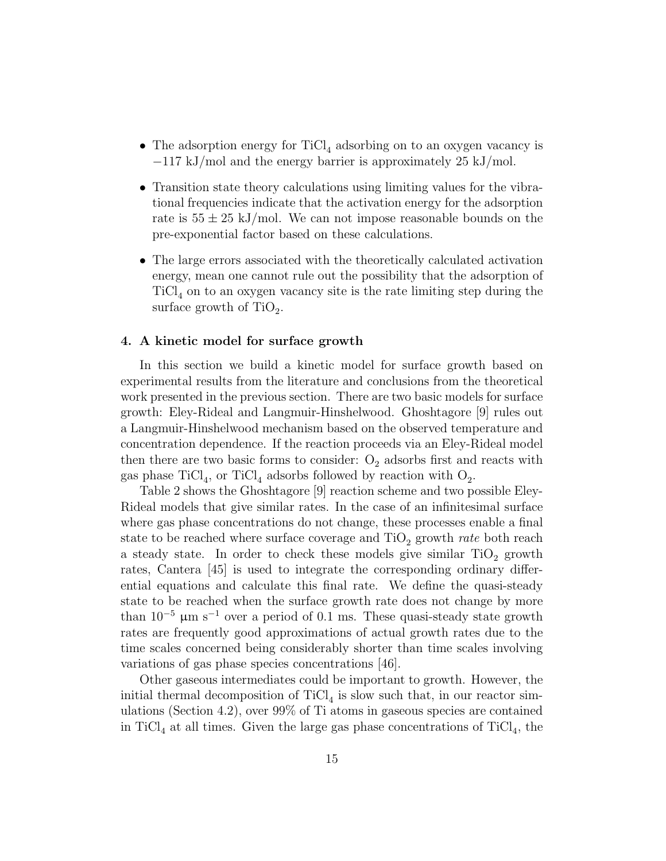- The adsorption energy for  $TiCl<sub>4</sub>$  adsorbing on to an oxygen vacancy is −117 kJ/mol and the energy barrier is approximately 25 kJ/mol.
- Transition state theory calculations using limiting values for the vibrational frequencies indicate that the activation energy for the adsorption rate is  $55 \pm 25$  kJ/mol. We can not impose reasonable bounds on the pre-exponential factor based on these calculations.
- The large errors associated with the theoretically calculated activation energy, mean one cannot rule out the possibility that the adsorption of  $TiCl<sub>4</sub>$  on to an oxygen vacancy site is the rate limiting step during the surface growth of  $TiO<sub>2</sub>$ .

# 4. A kinetic model for surface growth

In this section we build a kinetic model for surface growth based on experimental results from the literature and conclusions from the theoretical work presented in the previous section. There are two basic models for surface growth: Eley-Rideal and Langmuir-Hinshelwood. Ghoshtagore [9] rules out a Langmuir-Hinshelwood mechanism based on the observed temperature and concentration dependence. If the reaction proceeds via an Eley-Rideal model then there are two basic forms to consider:  $O_2$  adsorbs first and reacts with gas phase  $\text{TiCl}_4$ , or  $\text{TiCl}_4$  adsorbs followed by reaction with  $\text{O}_2$ .

Table 2 shows the Ghoshtagore [9] reaction scheme and two possible Eley-Rideal models that give similar rates. In the case of an infinitesimal surface where gas phase concentrations do not change, these processes enable a final state to be reached where surface coverage and  $\text{TiO}_2$  growth *rate* both reach a steady state. In order to check these models give similar  $TiO<sub>2</sub>$  growth rates, Cantera [45] is used to integrate the corresponding ordinary differential equations and calculate this final rate. We define the quasi-steady state to be reached when the surface growth rate does not change by more than  $10^{-5}$  µm s<sup>-1</sup> over a period of 0.1 ms. These quasi-steady state growth rates are frequently good approximations of actual growth rates due to the time scales concerned being considerably shorter than time scales involving variations of gas phase species concentrations [46].

Other gaseous intermediates could be important to growth. However, the initial thermal decomposition of  $TiCl<sub>4</sub>$  is slow such that, in our reactor simulations (Section 4.2), over 99% of Ti atoms in gaseous species are contained in TiCl<sub>4</sub> at all times. Given the large gas phase concentrations of TiCl<sub>4</sub>, the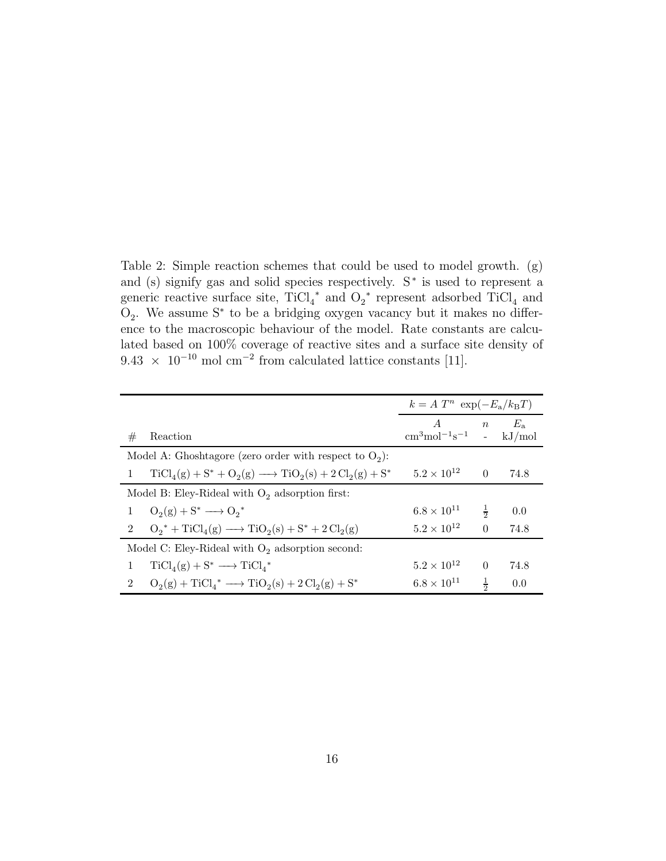Table 2: Simple reaction schemes that could be used to model growth. (g) and (s) signify gas and solid species respectively. S<sup>∗</sup> is used to represent a generic reactive surface site,  $TiCl<sub>4</sub><sup>*</sup>$  and  $O<sub>2</sub><sup>*</sup>$  represent adsorbed  $TiCl<sub>4</sub>$  and O2 . We assume S<sup>∗</sup> to be a bridging oxygen vacancy but it makes no difference to the macroscopic behaviour of the model. Rate constants are calculated based on 100% coverage of reactive sites and a surface site density of  $9.43 \times 10^{-10}$  mol cm<sup>-2</sup> from calculated lattice constants [11].

|                                                                                   | $k = A T^n \exp(-E_a/k_B T)$                                              |               |               |
|-----------------------------------------------------------------------------------|---------------------------------------------------------------------------|---------------|---------------|
| #<br>Reaction                                                                     | $A \qquad \qquad$<br>$\text{cm}^3 \text{mol}^{-1} \text{s}^{-1}$ - kJ/mol |               | $n E_{\rm a}$ |
| Model A: Ghoshtagore (zero order with respect to $O_2$ ):                         |                                                                           |               |               |
| $TiCl4(g) + S^* + O2(g) \longrightarrow TiO2(s) + 2 Cl2(g) + S^*$<br>$\mathbf{1}$ | $5.2 \times 10^{12}$                                                      | $\theta$      | 74.8          |
| Model B: Eley-Rideal with $O_2$ adsorption first:                                 |                                                                           |               |               |
| $O_2(g) + S^* \longrightarrow O_2^*$<br>$\mathbf{1}$                              | $6.8 \times 10^{11}$                                                      | $\frac{1}{2}$ | 0.0           |
| $O_2^* + TiCl_4(g) \longrightarrow TiO_2(s) + S^* + 2 Cl_2(g)$<br>$2^{\circ}$     | $5.2 \times 10^{12}$                                                      | $\theta$      | 74.8          |
| Model C: Eley-Rideal with $O_2$ adsorption second:                                |                                                                           |               |               |
| $TiCl_4(g) + S^* \longrightarrow TiCl_A^*$<br>$\mathbf{1}$                        | $5.2 \times 10^{12}$                                                      | $\Omega$      | 74.8          |
| $O_2(g) + TiCl_4^* \longrightarrow TiO_2(s) + 2 Cl_2(g) + S^*$<br>$\overline{2}$  | $6.8 \times 10^{11}$                                                      | $\frac{1}{2}$ | 0.0           |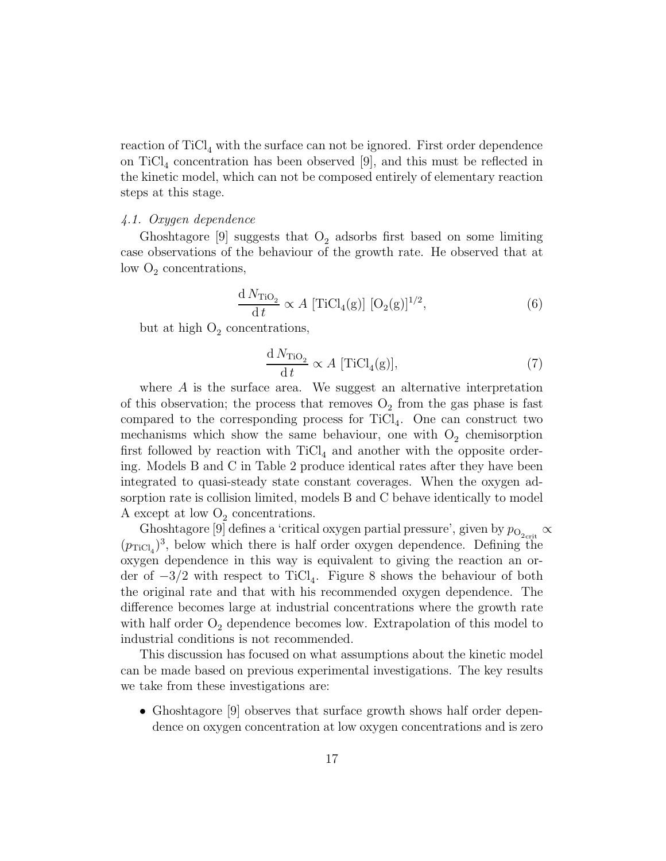reaction of  $\text{TiCl}_4$  with the surface can not be ignored. First order dependence on  $\text{TiCl}_4$  concentration has been observed [9], and this must be reflected in the kinetic model, which can not be composed entirely of elementary reaction steps at this stage.

# 4.1. Oxygen dependence

Ghoshtagore  $[9]$  suggests that  $O_2$  adsorbs first based on some limiting case observations of the behaviour of the growth rate. He observed that at low  $O_2$  concentrations,

$$
\frac{\mathrm{d}N_{\mathrm{TiO}_2}}{\mathrm{d}t} \propto A \left[ \mathrm{TiCl}_4(\mathrm{g}) \right] \left[ \mathrm{O}_2(\mathrm{g}) \right]^{1/2},\tag{6}
$$

but at high  $O_2$  concentrations,

$$
\frac{\mathrm{d}N_{\mathrm{TiO}_2}}{\mathrm{d}t} \propto A \,\,[\mathrm{TiCl}_4(\mathrm{g})],\tag{7}
$$

where A is the surface area. We suggest an alternative interpretation of this observation; the process that removes  $O_2$  from the gas phase is fast compared to the corresponding process for  $TiCl<sub>4</sub>$ . One can construct two mechanisms which show the same behaviour, one with  $O_2$  chemisorption first followed by reaction with  $TiCl<sub>4</sub>$  and another with the opposite ordering. Models B and C in Table 2 produce identical rates after they have been integrated to quasi-steady state constant coverages. When the oxygen adsorption rate is collision limited, models B and C behave identically to model A except at low  $O_2$  concentrations.

Ghoshtagore [9] defines a 'critical oxygen partial pressure', given by  $p_{\text{O}_{2\text{crit}}} \propto$  $(p_{TiCl_4})^3$ , below which there is half order oxygen dependence. Defining the oxygen dependence in this way is equivalent to giving the reaction an order of  $-3/2$  with respect to TiCl<sub>4</sub>. Figure 8 shows the behaviour of both the original rate and that with his recommended oxygen dependence. The difference becomes large at industrial concentrations where the growth rate with half order  $O_2$  dependence becomes low. Extrapolation of this model to industrial conditions is not recommended.

This discussion has focused on what assumptions about the kinetic model can be made based on previous experimental investigations. The key results we take from these investigations are:

• Ghoshtagore [9] observes that surface growth shows half order dependence on oxygen concentration at low oxygen concentrations and is zero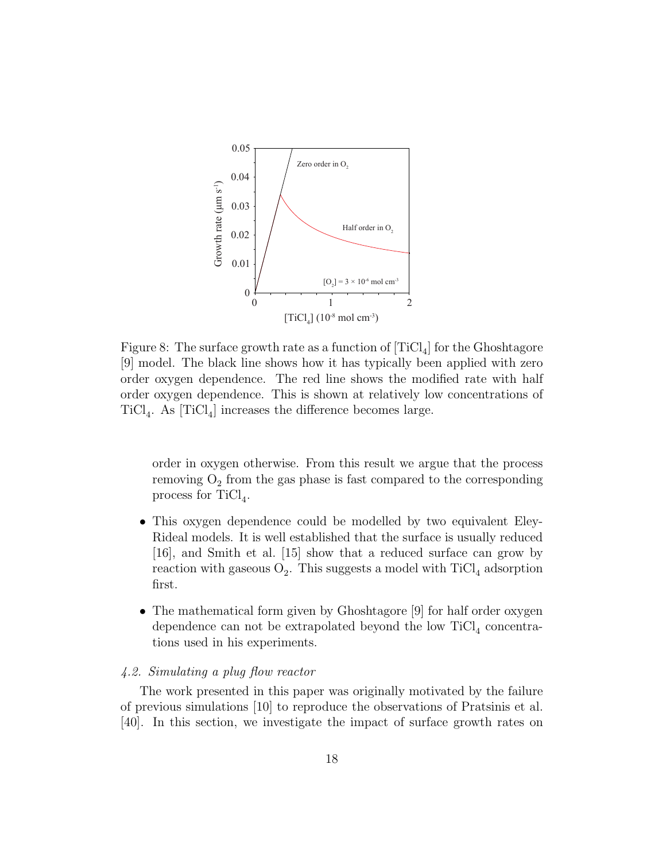

Figure 8: The surface growth rate as a function of  $[\text{TiCl}_4]$  for the Ghoshtagore [9] model. The black line shows how it has typically been applied with zero order oxygen dependence. The red line shows the modified rate with half order oxygen dependence. This is shown at relatively low concentrations of  $TiCl<sub>4</sub>$ . As  $[TiCl<sub>4</sub>]$  increases the difference becomes large.

order in oxygen otherwise. From this result we argue that the process removing  $O_2$  from the gas phase is fast compared to the corresponding process for  $TiCl<sub>4</sub>$ .

- This oxygen dependence could be modelled by two equivalent Eley-Rideal models. It is well established that the surface is usually reduced [16], and Smith et al. [15] show that a reduced surface can grow by reaction with gaseous  $O_2$ . This suggests a model with  $TiCl_4$  adsorption first.
- The mathematical form given by Ghoshtagore [9] for half order oxygen dependence can not be extrapolated beyond the low  $TiCl<sub>4</sub>$  concentrations used in his experiments.

# 4.2. Simulating a plug flow reactor

The work presented in this paper was originally motivated by the failure of previous simulations [10] to reproduce the observations of Pratsinis et al. [40]. In this section, we investigate the impact of surface growth rates on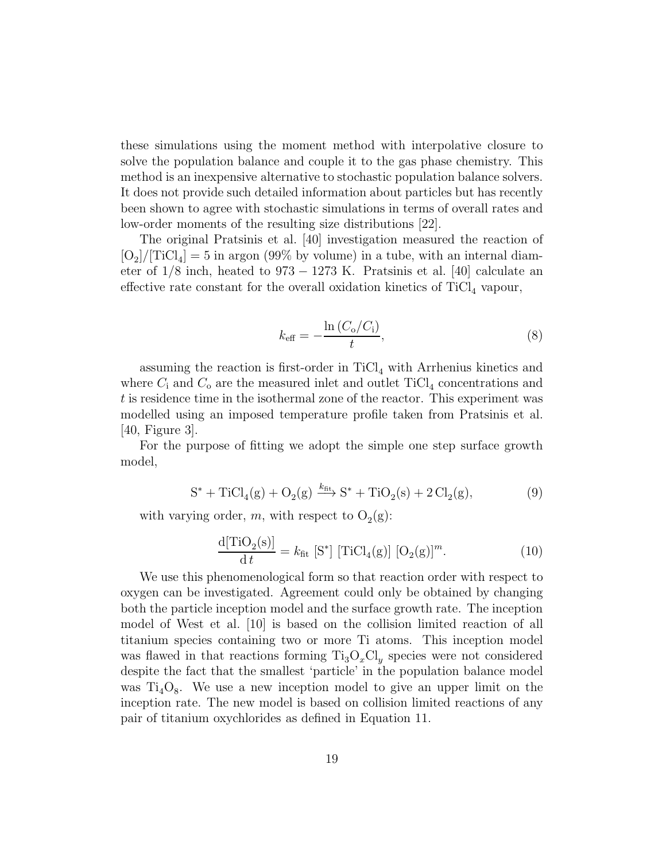these simulations using the moment method with interpolative closure to solve the population balance and couple it to the gas phase chemistry. This method is an inexpensive alternative to stochastic population balance solvers. It does not provide such detailed information about particles but has recently been shown to agree with stochastic simulations in terms of overall rates and low-order moments of the resulting size distributions [22].

The original Pratsinis et al. [40] investigation measured the reaction of  $[O_2]/[TiCl_4] = 5$  in argon (99% by volume) in a tube, with an internal diameter of  $1/8$  inch, heated to  $973 - 1273$  K. Pratsinis et al. [40] calculate an effective rate constant for the overall oxidation kinetics of  $TiCl<sub>4</sub>$  vapour,

$$
k_{\text{eff}} = -\frac{\ln\left(C_{\text{o}}/C_{\text{i}}\right)}{t},\tag{8}
$$

assuming the reaction is first-order in  $\text{TiCl}_4$  with Arrhenius kinetics and where  $C_i$  and  $C_o$  are the measured inlet and outlet TiCl<sub>4</sub> concentrations and t is residence time in the isothermal zone of the reactor. This experiment was modelled using an imposed temperature profile taken from Pratsinis et al. [40, Figure 3].

For the purpose of fitting we adopt the simple one step surface growth model,

$$
S^* + TiCl_4(g) + O_2(g) \xrightarrow{k_{\text{fit}}} S^* + TiO_2(s) + 2 Cl_2(g),
$$
 (9)

with varying order, m, with respect to  $O_2(g)$ :

$$
\frac{\mathrm{d}[{\rm TiO}_2(\mathrm{s})]}{\mathrm{d}\,t} = k_{\rm fit} \,\left[\mathrm{S}^*\right] \,\left[{\rm TiCl}_4(\mathrm{g})\right] \,\left[\mathrm{O}_2(\mathrm{g})\right]^m. \tag{10}
$$

We use this phenomenological form so that reaction order with respect to oxygen can be investigated. Agreement could only be obtained by changing both the particle inception model and the surface growth rate. The inception model of West et al. [10] is based on the collision limited reaction of all titanium species containing two or more Ti atoms. This inception model was flawed in that reactions forming  $Ti<sub>3</sub>O<sub>x</sub>Cl<sub>y</sub>$  species were not considered despite the fact that the smallest 'particle' in the population balance model was  $Ti<sub>4</sub>O<sub>8</sub>$ . We use a new inception model to give an upper limit on the inception rate. The new model is based on collision limited reactions of any pair of titanium oxychlorides as defined in Equation 11.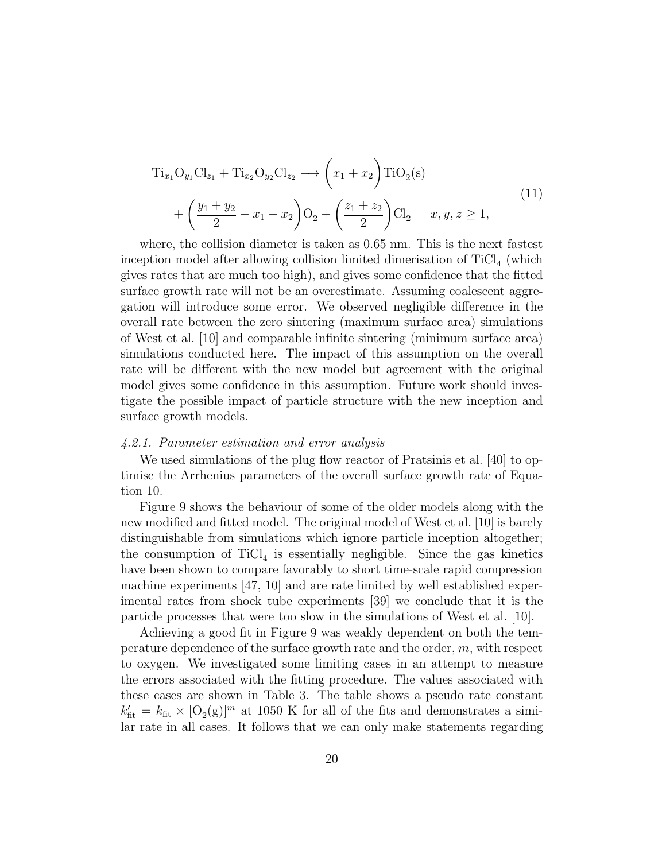$$
Ti_{x_1}O_{y_1}Cl_{z_1} + Ti_{x_2}O_{y_2}Cl_{z_2} \longrightarrow \left(x_1 + x_2\right) TiO_2(s)
$$
  
+ 
$$
\left(\frac{y_1 + y_2}{2} - x_1 - x_2\right) O_2 + \left(\frac{z_1 + z_2}{2}\right) Cl_2 \qquad x, y, z \ge 1,
$$
 (11)

where, the collision diameter is taken as 0.65 nm. This is the next fastest inception model after allowing collision limited dimerisation of  $TiCl<sub>4</sub>$  (which gives rates that are much too high), and gives some confidence that the fitted surface growth rate will not be an overestimate. Assuming coalescent aggregation will introduce some error. We observed negligible difference in the overall rate between the zero sintering (maximum surface area) simulations of West et al. [10] and comparable infinite sintering (minimum surface area) simulations conducted here. The impact of this assumption on the overall rate will be different with the new model but agreement with the original model gives some confidence in this assumption. Future work should investigate the possible impact of particle structure with the new inception and surface growth models.

#### 4.2.1. Parameter estimation and error analysis

We used simulations of the plug flow reactor of Pratsinis et al. [40] to optimise the Arrhenius parameters of the overall surface growth rate of Equation 10.

Figure 9 shows the behaviour of some of the older models along with the new modified and fitted model. The original model of West et al. [10] is barely distinguishable from simulations which ignore particle inception altogether; the consumption of  $TiCl<sub>4</sub>$  is essentially negligible. Since the gas kinetics have been shown to compare favorably to short time-scale rapid compression machine experiments [47, 10] and are rate limited by well established experimental rates from shock tube experiments [39] we conclude that it is the particle processes that were too slow in the simulations of West et al. [10].

Achieving a good fit in Figure 9 was weakly dependent on both the temperature dependence of the surface growth rate and the order, m, with respect to oxygen. We investigated some limiting cases in an attempt to measure the errors associated with the fitting procedure. The values associated with these cases are shown in Table 3. The table shows a pseudo rate constant  $k'_{\text{fit}} = k_{\text{fit}} \times [O_2(g)]^m$  at 1050 K for all of the fits and demonstrates a similar rate in all cases. It follows that we can only make statements regarding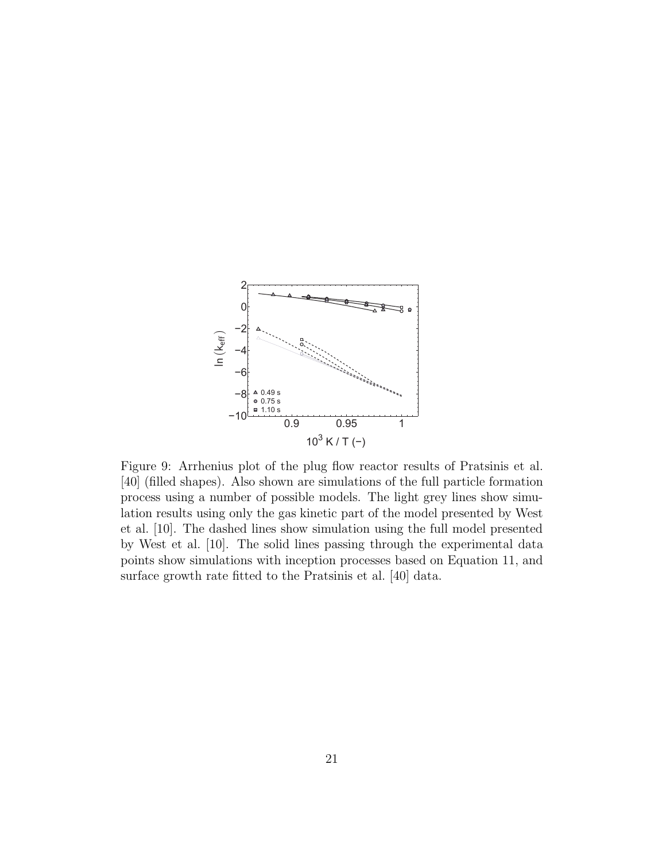

Figure 9: Arrhenius plot of the plug flow reactor results of Pratsinis et al. [40] (filled shapes). Also shown are simulations of the full particle formation process using a number of possible models. The light grey lines show simulation results using only the gas kinetic part of the model presented by West et al. [10]. The dashed lines show simulation using the full model presented by West et al. [10]. The solid lines passing through the experimental data points show simulations with inception processes based on Equation 11, and surface growth rate fitted to the Pratsinis et al. [40] data.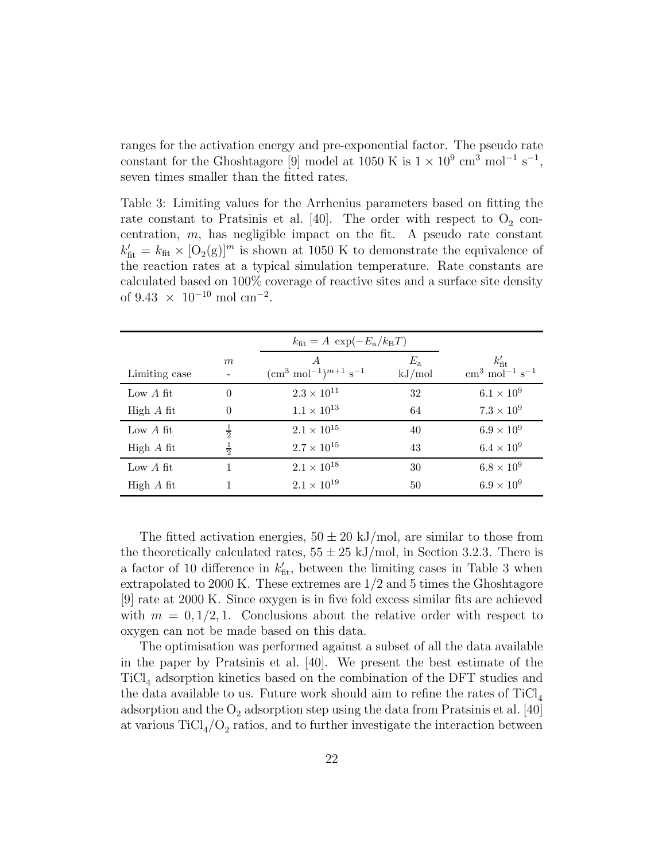ranges for the activation energy and pre-exponential factor. The pseudo rate constant for the Ghoshtagore [9] model at 1050 K is  $1 \times 10^9$  cm<sup>3</sup> mol<sup>-1</sup> s<sup>-1</sup>, seven times smaller than the fitted rates.

Table 3: Limiting values for the Arrhenius parameters based on fitting the rate constant to Pratsinis et al. [40]. The order with respect to  $O_2$  concentration,  $m$ , has negligible impact on the fit. A pseudo rate constant  $k'_{\text{fit}} = k_{\text{fit}} \times [O_2(g)]^m$  is shown at 1050 K to demonstrate the equivalence of the reaction rates at a typical simulation temperature. Rate constants are calculated based on 100% coverage of reactive sites and a surface site density of  $9.43 \times 10^{-10}$  mol cm<sup>-2</sup>.

|               |               | $k_{\text{fit}} = A \exp(-E_a/k_B T)$                            |                       |                                                                |
|---------------|---------------|------------------------------------------------------------------|-----------------------|----------------------------------------------------------------|
| Limiting case | m             | A<br>$\text{cm}^3 \text{ mol}^{-1}\text{)}^{m+1} \text{ s}^{-1}$ | $E_{\rm a}$<br>kJ/mol | $k'_{\rm fit}$<br>$\rm cm^3$ mol <sup>-1</sup> s <sup>-1</sup> |
| Low $A$ fit   | $\Omega$      | $2.3 \times 10^{11}$                                             | 32                    | $6.1 \times 10^9$                                              |
| High $A$ fit  |               | $1.1 \times 10^{13}$                                             | 64                    | $7.3 \times 10^{9}$                                            |
| Low $A$ fit   | $\frac{1}{2}$ | $2.1 \times 10^{15}$                                             | 40                    | $6.9 \times 10^9$                                              |
| High $A$ fit  | $\frac{1}{2}$ | $2.7 \times 10^{15}$                                             | 43                    | $6.4 \times 10^9$                                              |
| Low $A$ fit   |               | $2.1 \times 10^{18}$                                             | 30                    | $6.8 \times 10^9$                                              |
| High $A$ fit  |               | $2.1 \times 10^{19}$                                             | 50                    | $6.9 \times 10^{9}$                                            |

The fitted activation energies,  $50 \pm 20$  kJ/mol, are similar to those from the theoretically calculated rates,  $55 \pm 25$  kJ/mol, in Section 3.2.3. There is a factor of 10 difference in  $k'_{\text{fit}}$ , between the limiting cases in Table 3 when extrapolated to 2000 K. These extremes are  $1/2$  and 5 times the Ghoshtagore [9] rate at 2000 K. Since oxygen is in five fold excess similar fits are achieved with  $m = 0, 1/2, 1$ . Conclusions about the relative order with respect to oxygen can not be made based on this data.

The optimisation was performed against a subset of all the data available in the paper by Pratsinis et al. [40]. We present the best estimate of the TiCl<sup>4</sup> adsorption kinetics based on the combination of the DFT studies and the data available to us. Future work should aim to refine the rates of  $TiCl<sub>4</sub>$ adsorption and the  $O_2$  adsorption step using the data from Pratsinis et al. [40] at various  $\text{TiCl}_4/\text{O}_2$  ratios, and to further investigate the interaction between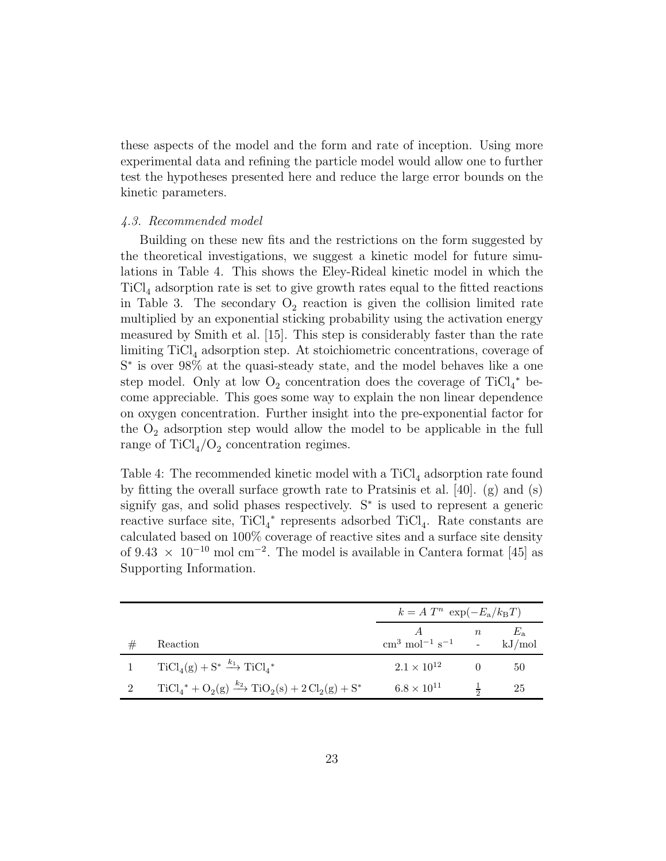these aspects of the model and the form and rate of inception. Using more experimental data and refining the particle model would allow one to further test the hypotheses presented here and reduce the large error bounds on the kinetic parameters.

# 4.3. Recommended model

Building on these new fits and the restrictions on the form suggested by the theoretical investigations, we suggest a kinetic model for future simulations in Table 4. This shows the Eley-Rideal kinetic model in which the  $TiCl<sub>4</sub>$  adsorption rate is set to give growth rates equal to the fitted reactions in Table 3. The secondary  $O_2$  reaction is given the collision limited rate multiplied by an exponential sticking probability using the activation energy measured by Smith et al. [15]. This step is considerably faster than the rate limiting TiCl<sub>4</sub> adsorption step. At stoichiometric concentrations, coverage of S<sup>\*</sup> is over 98% at the quasi-steady state, and the model behaves like a one step model. Only at low  $O_2$  concentration does the coverage of TiCl<sub>4</sub><sup>\*</sup> become appreciable. This goes some way to explain the non linear dependence on oxygen concentration. Further insight into the pre-exponential factor for the  $O_2$  adsorption step would allow the model to be applicable in the full range of  $TiCl_4/O_2$  concentration regimes.

Table 4: The recommended kinetic model with a  $TiCl<sub>4</sub>$  adsorption rate found by fitting the overall surface growth rate to Pratsinis et al. [40]. (g) and (s) signify gas, and solid phases respectively. S<sup>∗</sup> is used to represent a generic reactive surface site,  $TiCl<sub>4</sub><sup>*</sup>$  represents adsorbed  $TiCl<sub>4</sub>$ . Rate constants are calculated based on 100% coverage of reactive sites and a surface site density of 9.43  $\times$  10<sup>-10</sup> mol cm<sup>-2</sup>. The model is available in Cantera format [45] as Supporting Information.

|                |                                                                  | $k = A T^n \exp(-E_a/k_B T)$                           |                  |             |
|----------------|------------------------------------------------------------------|--------------------------------------------------------|------------------|-------------|
|                | Reaction                                                         | $\text{cm}^3 \text{ mol}^{-1} \text{ s}^{-1}$ - kJ/mol | $\boldsymbol{n}$ | $E_{\rm a}$ |
|                |                                                                  |                                                        |                  |             |
|                | $TiCl_4(g) + S^* \xrightarrow{k_1} TiCl_4^*$                     | $2.1 \times 10^{12}$                                   |                  | 50          |
| $\overline{2}$ | $TiCl_4^* + O_2(g) \xrightarrow{k_2} TiO_2(s) + 2 Cl_2(g) + S^*$ | $6.8 \times 10^{11}$                                   | $rac{1}{2}$      | 25          |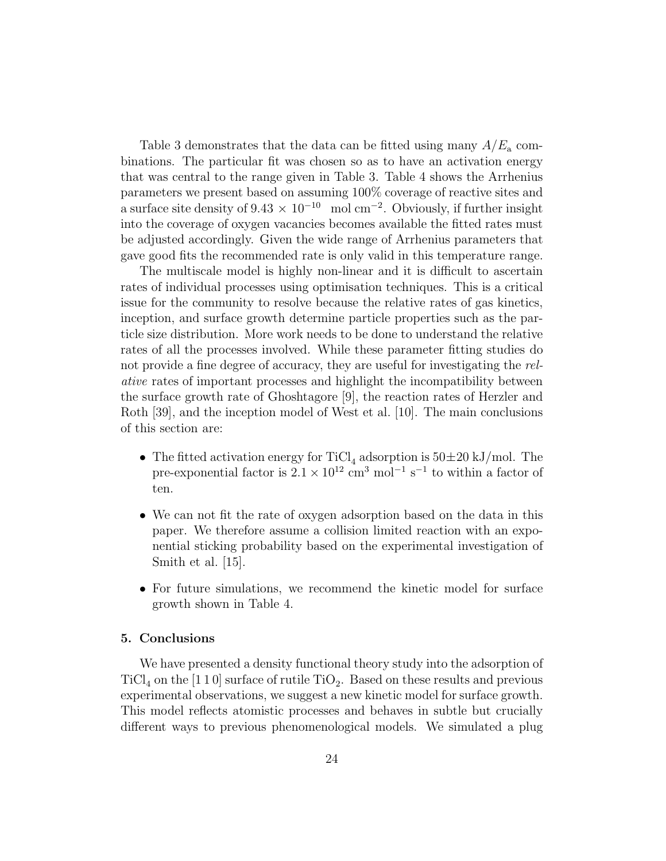Table 3 demonstrates that the data can be fitted using many  $A/E_a$  combinations. The particular fit was chosen so as to have an activation energy that was central to the range given in Table 3. Table 4 shows the Arrhenius parameters we present based on assuming 100% coverage of reactive sites and a surface site density of  $9.43 \times 10^{-10}$  mol cm<sup>-2</sup>. Obviously, if further insight into the coverage of oxygen vacancies becomes available the fitted rates must be adjusted accordingly. Given the wide range of Arrhenius parameters that gave good fits the recommended rate is only valid in this temperature range.

The multiscale model is highly non-linear and it is difficult to ascertain rates of individual processes using optimisation techniques. This is a critical issue for the community to resolve because the relative rates of gas kinetics, inception, and surface growth determine particle properties such as the particle size distribution. More work needs to be done to understand the relative rates of all the processes involved. While these parameter fitting studies do not provide a fine degree of accuracy, they are useful for investigating the relative rates of important processes and highlight the incompatibility between the surface growth rate of Ghoshtagore [9], the reaction rates of Herzler and Roth [39], and the inception model of West et al. [10]. The main conclusions of this section are:

- The fitted activation energy for TiCl<sub>4</sub> adsorption is  $50\pm20$  kJ/mol. The pre-exponential factor is  $2.1 \times 10^{12}$  cm<sup>3</sup> mol<sup>-1</sup> s<sup>-1</sup> to within a factor of ten.
- We can not fit the rate of oxygen adsorption based on the data in this paper. We therefore assume a collision limited reaction with an exponential sticking probability based on the experimental investigation of Smith et al. [15].
- For future simulations, we recommend the kinetic model for surface growth shown in Table 4.

# 5. Conclusions

We have presented a density functional theory study into the adsorption of  $\text{TiCl}_4$  on the [1 1 0] surface of rutile  $\text{TiO}_2$ . Based on these results and previous experimental observations, we suggest a new kinetic model for surface growth. This model reflects atomistic processes and behaves in subtle but crucially different ways to previous phenomenological models. We simulated a plug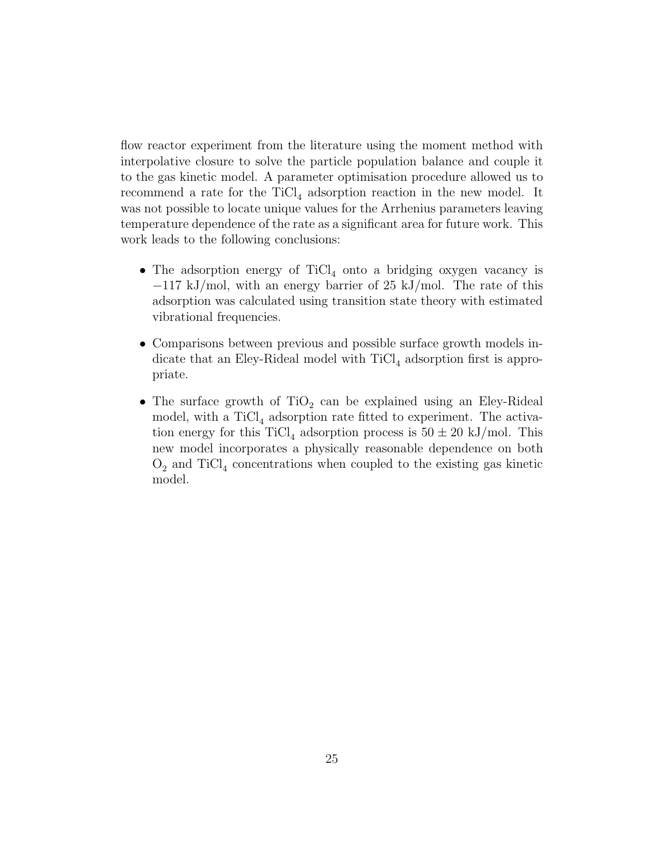flow reactor experiment from the literature using the moment method with interpolative closure to solve the particle population balance and couple it to the gas kinetic model. A parameter optimisation procedure allowed us to recommend a rate for the  $TiCl<sub>4</sub>$  adsorption reaction in the new model. It was not possible to locate unique values for the Arrhenius parameters leaving temperature dependence of the rate as a significant area for future work. This work leads to the following conclusions:

- The adsorption energy of  $TiCl<sub>4</sub>$  onto a bridging oxygen vacancy is −117 kJ/mol, with an energy barrier of 25 kJ/mol. The rate of this adsorption was calculated using transition state theory with estimated vibrational frequencies.
- Comparisons between previous and possible surface growth models indicate that an Eley-Rideal model with  $TiCl<sub>4</sub>$  adsorption first is appropriate.
- $\bullet$  The surface growth of  $\rm TiO_2$  can be explained using an Eley-Rideal model, with a  $TiCl<sub>4</sub>$  adsorption rate fitted to experiment. The activation energy for this  $TiCl_4$  adsorption process is  $50 \pm 20$  kJ/mol. This new model incorporates a physically reasonable dependence on both  $O_2$  and TiCl<sub>4</sub> concentrations when coupled to the existing gas kinetic model.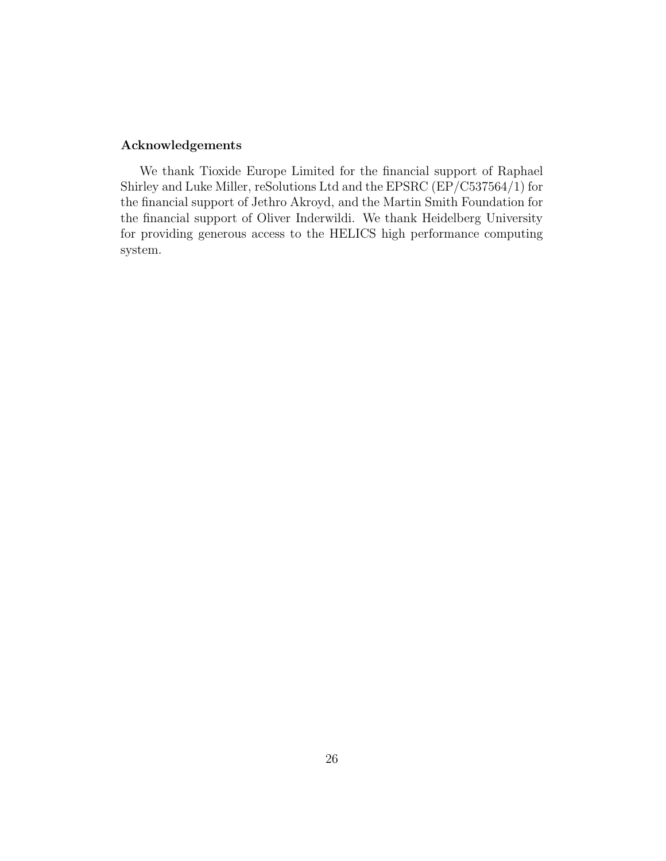# Acknowledgements

We thank Tioxide Europe Limited for the financial support of Raphael Shirley and Luke Miller, reSolutions Ltd and the EPSRC (EP/C537564/1) for the financial support of Jethro Akroyd, and the Martin Smith Foundation for the financial support of Oliver Inderwildi. We thank Heidelberg University for providing generous access to the HELICS high performance computing system.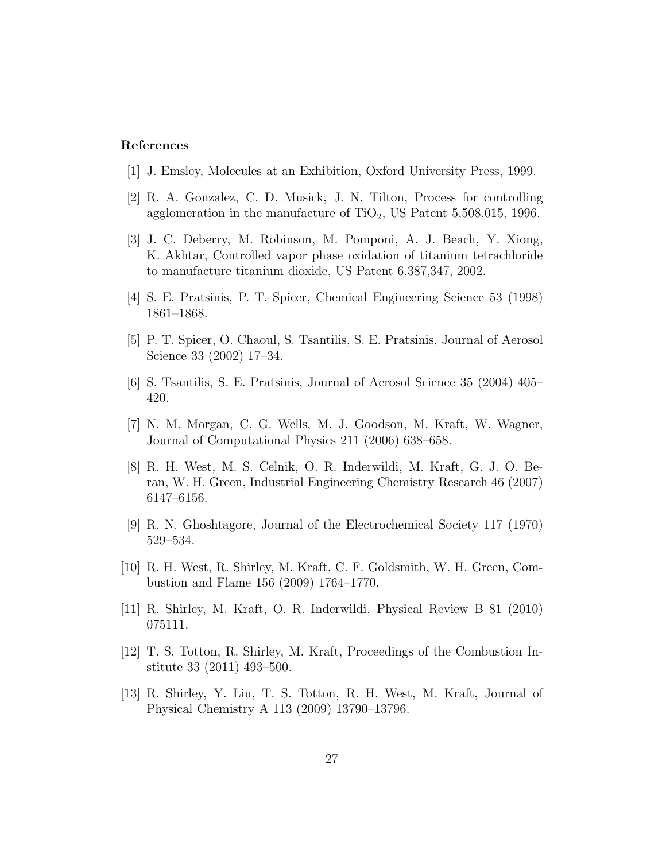# References

- [1] J. Emsley, Molecules at an Exhibition, Oxford University Press, 1999.
- [2] R. A. Gonzalez, C. D. Musick, J. N. Tilton, Process for controlling agglomeration in the manufacture of  $TiO<sub>2</sub>$ , US Patent 5,508,015, 1996.
- [3] J. C. Deberry, M. Robinson, M. Pomponi, A. J. Beach, Y. Xiong, K. Akhtar, Controlled vapor phase oxidation of titanium tetrachloride to manufacture titanium dioxide, US Patent 6,387,347, 2002.
- [4] S. E. Pratsinis, P. T. Spicer, Chemical Engineering Science 53 (1998) 1861–1868.
- [5] P. T. Spicer, O. Chaoul, S. Tsantilis, S. E. Pratsinis, Journal of Aerosol Science 33 (2002) 17–34.
- [6] S. Tsantilis, S. E. Pratsinis, Journal of Aerosol Science 35 (2004) 405– 420.
- [7] N. M. Morgan, C. G. Wells, M. J. Goodson, M. Kraft, W. Wagner, Journal of Computational Physics 211 (2006) 638–658.
- [8] R. H. West, M. S. Celnik, O. R. Inderwildi, M. Kraft, G. J. O. Beran, W. H. Green, Industrial Engineering Chemistry Research 46 (2007) 6147–6156.
- [9] R. N. Ghoshtagore, Journal of the Electrochemical Society 117 (1970) 529–534.
- [10] R. H. West, R. Shirley, M. Kraft, C. F. Goldsmith, W. H. Green, Combustion and Flame 156 (2009) 1764–1770.
- [11] R. Shirley, M. Kraft, O. R. Inderwildi, Physical Review B 81 (2010) 075111.
- [12] T. S. Totton, R. Shirley, M. Kraft, Proceedings of the Combustion Institute 33 (2011) 493–500.
- [13] R. Shirley, Y. Liu, T. S. Totton, R. H. West, M. Kraft, Journal of Physical Chemistry A 113 (2009) 13790–13796.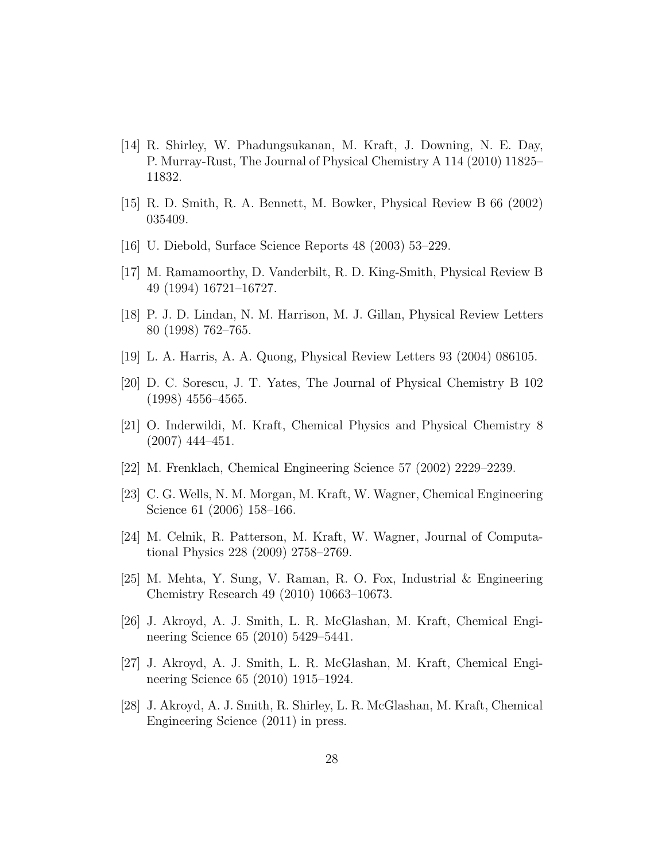- [14] R. Shirley, W. Phadungsukanan, M. Kraft, J. Downing, N. E. Day, P. Murray-Rust, The Journal of Physical Chemistry A 114 (2010) 11825– 11832.
- [15] R. D. Smith, R. A. Bennett, M. Bowker, Physical Review B 66 (2002) 035409.
- [16] U. Diebold, Surface Science Reports 48 (2003) 53–229.
- [17] M. Ramamoorthy, D. Vanderbilt, R. D. King-Smith, Physical Review B 49 (1994) 16721–16727.
- [18] P. J. D. Lindan, N. M. Harrison, M. J. Gillan, Physical Review Letters 80 (1998) 762–765.
- [19] L. A. Harris, A. A. Quong, Physical Review Letters 93 (2004) 086105.
- [20] D. C. Sorescu, J. T. Yates, The Journal of Physical Chemistry B 102 (1998) 4556–4565.
- [21] O. Inderwildi, M. Kraft, Chemical Physics and Physical Chemistry 8 (2007) 444–451.
- [22] M. Frenklach, Chemical Engineering Science 57 (2002) 2229–2239.
- [23] C. G. Wells, N. M. Morgan, M. Kraft, W. Wagner, Chemical Engineering Science 61 (2006) 158–166.
- [24] M. Celnik, R. Patterson, M. Kraft, W. Wagner, Journal of Computational Physics 228 (2009) 2758–2769.
- [25] M. Mehta, Y. Sung, V. Raman, R. O. Fox, Industrial & Engineering Chemistry Research 49 (2010) 10663–10673.
- [26] J. Akroyd, A. J. Smith, L. R. McGlashan, M. Kraft, Chemical Engineering Science 65 (2010) 5429–5441.
- [27] J. Akroyd, A. J. Smith, L. R. McGlashan, M. Kraft, Chemical Engineering Science 65 (2010) 1915–1924.
- [28] J. Akroyd, A. J. Smith, R. Shirley, L. R. McGlashan, M. Kraft, Chemical Engineering Science (2011) in press.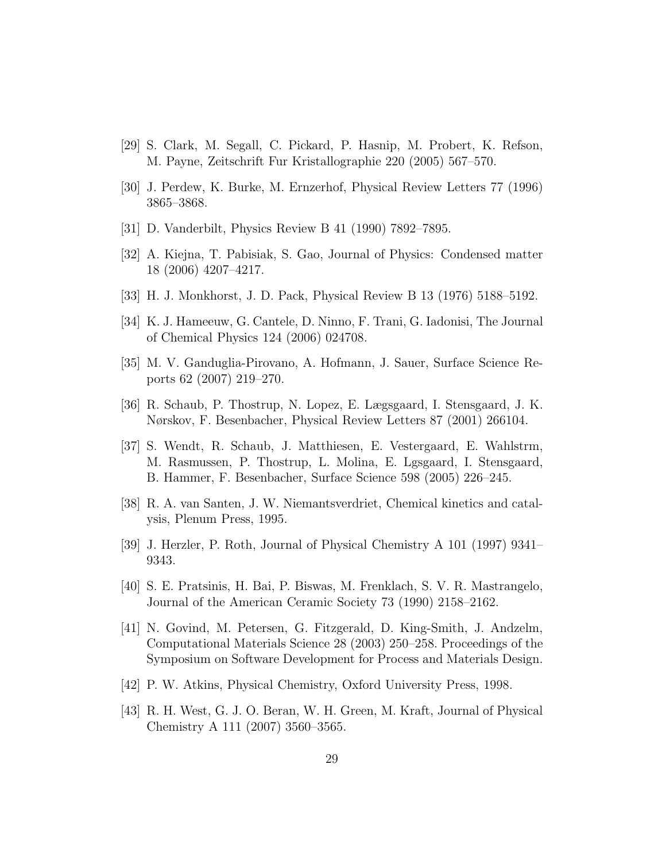- [29] S. Clark, M. Segall, C. Pickard, P. Hasnip, M. Probert, K. Refson, M. Payne, Zeitschrift Fur Kristallographie 220 (2005) 567–570.
- [30] J. Perdew, K. Burke, M. Ernzerhof, Physical Review Letters 77 (1996) 3865–3868.
- [31] D. Vanderbilt, Physics Review B 41 (1990) 7892–7895.
- [32] A. Kiejna, T. Pabisiak, S. Gao, Journal of Physics: Condensed matter 18 (2006) 4207–4217.
- [33] H. J. Monkhorst, J. D. Pack, Physical Review B 13 (1976) 5188–5192.
- [34] K. J. Hameeuw, G. Cantele, D. Ninno, F. Trani, G. Iadonisi, The Journal of Chemical Physics 124 (2006) 024708.
- [35] M. V. Ganduglia-Pirovano, A. Hofmann, J. Sauer, Surface Science Reports 62 (2007) 219–270.
- [36] R. Schaub, P. Thostrup, N. Lopez, E. Lægsgaard, I. Stensgaard, J. K. Nørskov, F. Besenbacher, Physical Review Letters 87 (2001) 266104.
- [37] S. Wendt, R. Schaub, J. Matthiesen, E. Vestergaard, E. Wahlstrm, M. Rasmussen, P. Thostrup, L. Molina, E. Lgsgaard, I. Stensgaard, B. Hammer, F. Besenbacher, Surface Science 598 (2005) 226–245.
- [38] R. A. van Santen, J. W. Niemantsverdriet, Chemical kinetics and catalysis, Plenum Press, 1995.
- [39] J. Herzler, P. Roth, Journal of Physical Chemistry A 101 (1997) 9341– 9343.
- [40] S. E. Pratsinis, H. Bai, P. Biswas, M. Frenklach, S. V. R. Mastrangelo, Journal of the American Ceramic Society 73 (1990) 2158–2162.
- [41] N. Govind, M. Petersen, G. Fitzgerald, D. King-Smith, J. Andzelm, Computational Materials Science 28 (2003) 250–258. Proceedings of the Symposium on Software Development for Process and Materials Design.
- [42] P. W. Atkins, Physical Chemistry, Oxford University Press, 1998.
- [43] R. H. West, G. J. O. Beran, W. H. Green, M. Kraft, Journal of Physical Chemistry A 111 (2007) 3560–3565.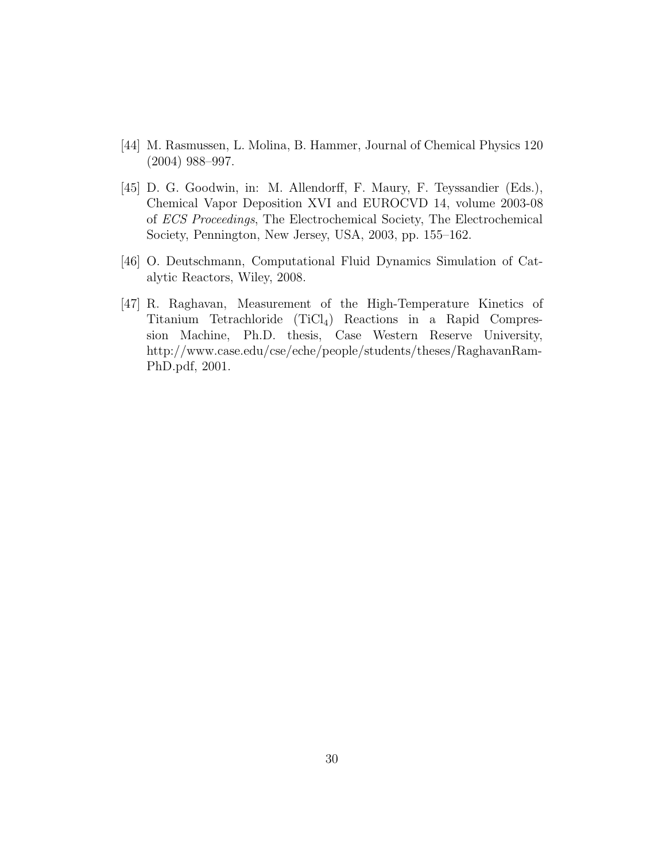- [44] M. Rasmussen, L. Molina, B. Hammer, Journal of Chemical Physics 120 (2004) 988–997.
- [45] D. G. Goodwin, in: M. Allendorff, F. Maury, F. Teyssandier (Eds.), Chemical Vapor Deposition XVI and EUROCVD 14, volume 2003-08 of ECS Proceedings, The Electrochemical Society, The Electrochemical Society, Pennington, New Jersey, USA, 2003, pp. 155–162.
- [46] O. Deutschmann, Computational Fluid Dynamics Simulation of Catalytic Reactors, Wiley, 2008.
- [47] R. Raghavan, Measurement of the High-Temperature Kinetics of Titanium Tetrachloride (TiCl4) Reactions in a Rapid Compression Machine, Ph.D. thesis, Case Western Reserve University, http://www.case.edu/cse/eche/people/students/theses/RaghavanRam-PhD.pdf, 2001.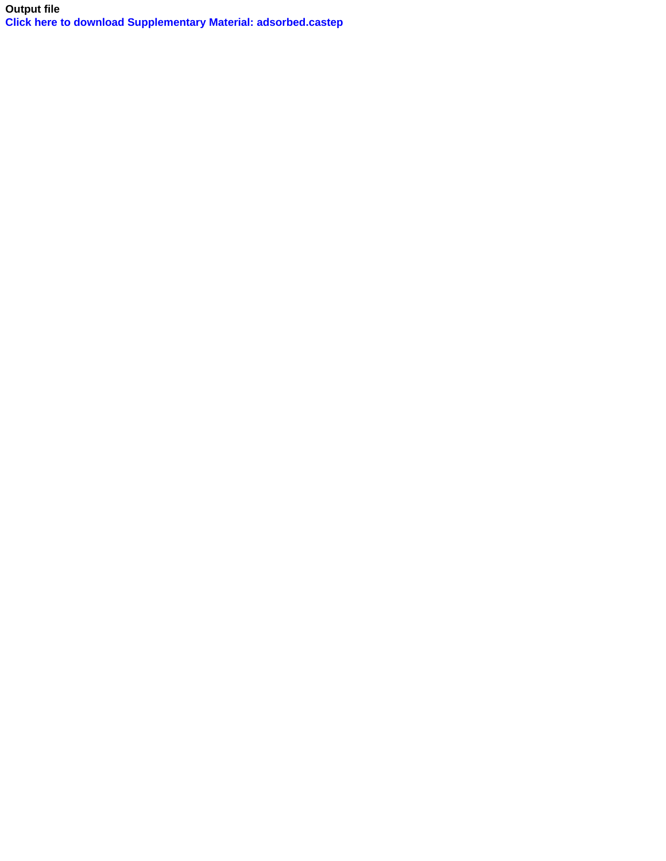**Output file [Click here to download Supplementary Material: adsorbed.castep](http://ees.elsevier.com/cnf/download.aspx?id=58943&guid=771fb146-f37b-45ef-a09e-f544e803f62d&scheme=1)**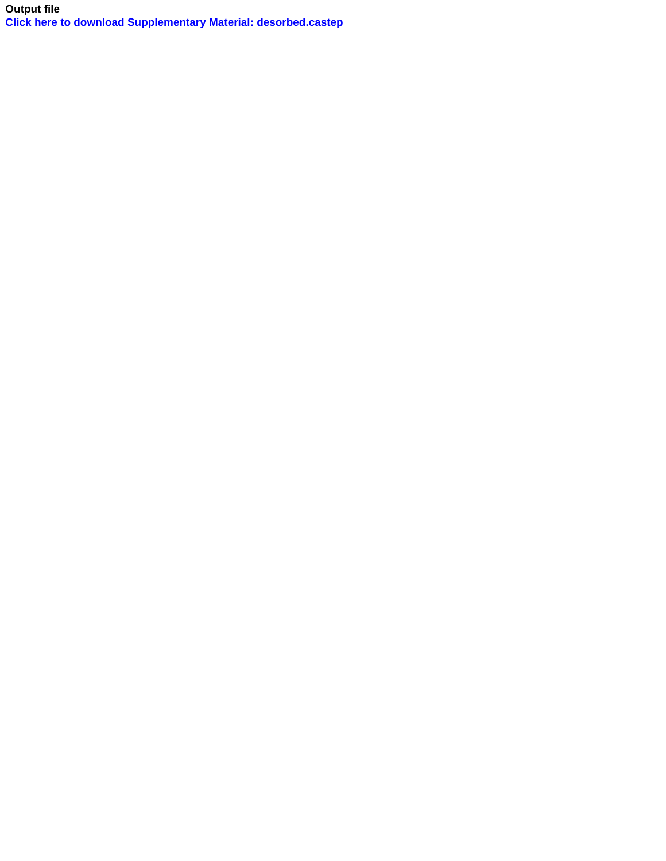**Output file [Click here to download Supplementary Material: desorbed.castep](http://ees.elsevier.com/cnf/download.aspx?id=58944&guid=c4ba4cde-dc20-4969-a01e-4e5ee4fba9a2&scheme=1)**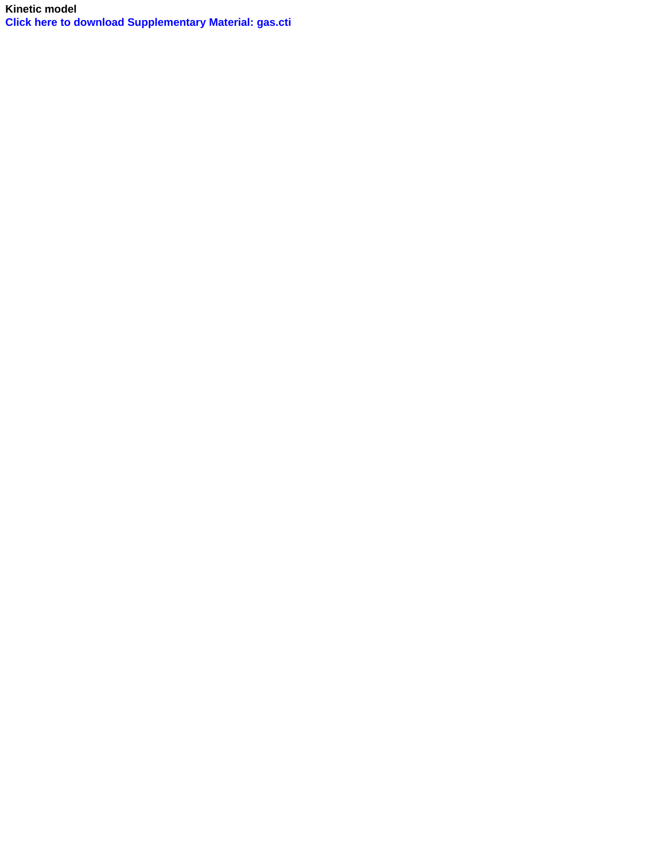**Kinetic model [Click here to download Supplementary Material: gas.cti](http://ees.elsevier.com/cnf/download.aspx?id=58945&guid=e4c05a1d-ab4b-492f-8991-b9ed11083d9c&scheme=1)**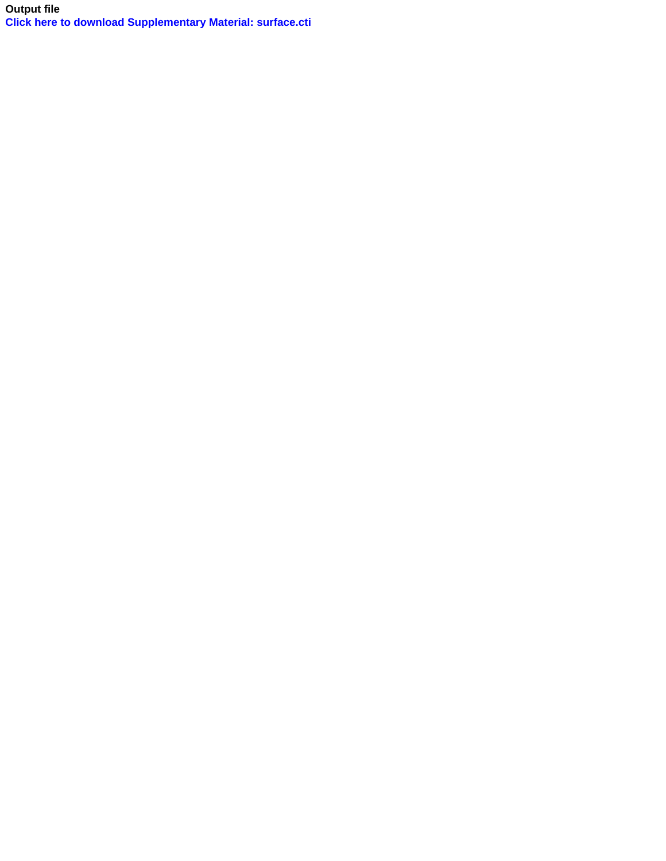**Output file [Click here to download Supplementary Material: surface.cti](http://ees.elsevier.com/cnf/download.aspx?id=58946&guid=5771ab07-b3c5-40c2-bb29-607c4b521053&scheme=1)**